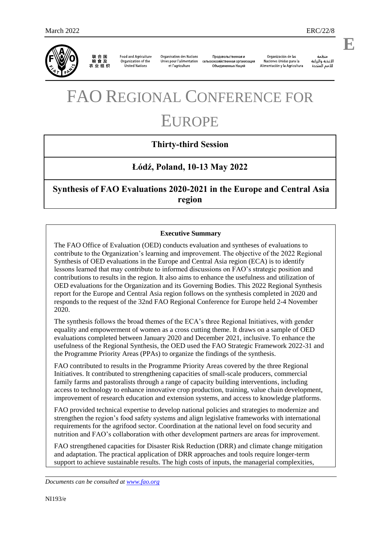

联合国<br>粮食及 农业组织

**Food and Agriculture** Organization of the United Nations

**Organisation des Nations** Unies pour l'alimentation et l'agriculture

Продовольственная и сельскохозяйственная организация Объединенных Наций

Organización de las Naciones Unidas para la Alimentación y la Agricultura

änhin الأغذية والزراعة للأمم المتحدة

.

**E**

# FAO REGIONAL CONFERENCE FOR EUROPE

## **Thirty-third Session**

## **Łódź, Poland, 10-13 May 2022**

**Synthesis of FAO Evaluations 2020-2021 in the Europe and Central Asia region**

## **Executive Summary**

The FAO Office of Evaluation (OED) conducts evaluation and syntheses of evaluations to contribute to the Organization's learning and improvement. The objective of the 2022 Regional Synthesis of OED evaluations in the Europe and Central Asia region (ECA) is to identify lessons learned that may contribute to informed discussions on FAO's strategic position and contributions to results in the region. It also aims to enhance the usefulness and utilization of OED evaluations for the Organization and its Governing Bodies. This 2022 Regional Synthesis report for the Europe and Central Asia region follows on the synthesis completed in 2020 and responds to the request of the 32nd FAO Regional Conference for Europe held 2-4 November 2020.

The synthesis follows the broad themes of the ECA's three Regional Initiatives, with gender equality and empowerment of women as a cross cutting theme. It draws on a sample of OED evaluations completed between January 2020 and December 2021, inclusive. To enhance the usefulness of the Regional Synthesis, the OED used the FAO Strategic Framework 2022-31 and the Programme Priority Areas (PPAs) to organize the findings of the synthesis.

FAO contributed to results in the Programme Priority Areas covered by the three Regional Initiatives. It contributed to strengthening capacities of small-scale producers, commercial family farms and pastoralists through a range of capacity building interventions, including access to technology to enhance innovative crop production, training, value chain development, improvement of research education and extension systems, and access to knowledge platforms.

FAO provided technical expertise to develop national policies and strategies to modernize and strengthen the region's food safety systems and align legislative frameworks with international requirements for the agrifood sector. Coordination at the national level on food security and nutrition and FAO's collaboration with other development partners are areas for improvement.

FAO strengthened capacities for Disaster Risk Reduction (DRR) and climate change mitigation and adaptation. The practical application of DRR approaches and tools require longer-term support to achieve sustainable results. The high costs of inputs, the managerial complexities,

*Documents can be consulted at [www.fao.org](http://www.fao.org/)*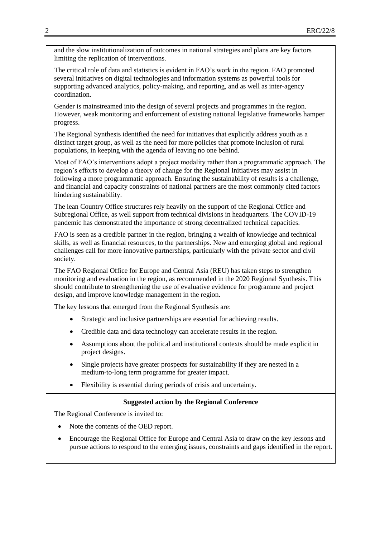and the slow institutionalization of outcomes in national strategies and plans are key factors limiting the replication of interventions.

The critical role of data and statistics is evident in FAO's work in the region. FAO promoted several initiatives on digital technologies and information systems as powerful tools for supporting advanced analytics, policy-making, and reporting, and as well as inter-agency coordination.

Gender is mainstreamed into the design of several projects and programmes in the region. However, weak monitoring and enforcement of existing national legislative frameworks hamper progress.

The Regional Synthesis identified the need for initiatives that explicitly address youth as a distinct target group, as well as the need for more policies that promote inclusion of rural populations, in keeping with the agenda of leaving no one behind.

Most of FAO's interventions adopt a project modality rather than a programmatic approach. The region's efforts to develop a theory of change for the Regional Initiatives may assist in following a more programmatic approach. Ensuring the sustainability of results is a challenge, and financial and capacity constraints of national partners are the most commonly cited factors hindering sustainability.

The lean Country Office structures rely heavily on the support of the Regional Office and Subregional Office, as well support from technical divisions in headquarters. The COVID-19 pandemic has demonstrated the importance of strong decentralized technical capacities.

FAO is seen as a credible partner in the region, bringing a wealth of knowledge and technical skills, as well as financial resources, to the partnerships. New and emerging global and regional challenges call for more innovative partnerships, particularly with the private sector and civil society.

The FAO Regional Office for Europe and Central Asia (REU) has taken steps to strengthen monitoring and evaluation in the region, as recommended in the 2020 Regional Synthesis. This should contribute to strengthening the use of evaluative evidence for programme and project design, and improve knowledge management in the region.

The key lessons that emerged from the Regional Synthesis are:

- Strategic and inclusive partnerships are essential for achieving results.
- Credible data and data technology can accelerate results in the region.
- Assumptions about the political and institutional contexts should be made explicit in project designs.
- Single projects have greater prospects for sustainability if they are nested in a medium-to-long term programme for greater impact.
- Flexibility is essential during periods of crisis and uncertainty.

#### **Suggested action by the Regional Conference**

The Regional Conference is invited to:

- Note the contents of the OED report.
- Encourage the Regional Office for Europe and Central Asia to draw on the key lessons and pursue actions to respond to the emerging issues, constraints and gaps identified in the report.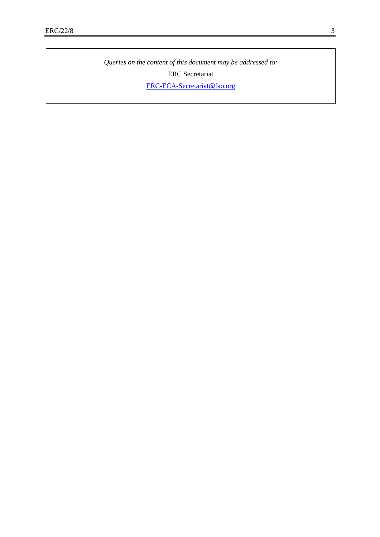*Queries on the content of this document may be addressed to:* ERC Secretariat

[ERC-ECA-Secretariat@fao.org](mailto:ERC-ECA-Secretariat@fao.org)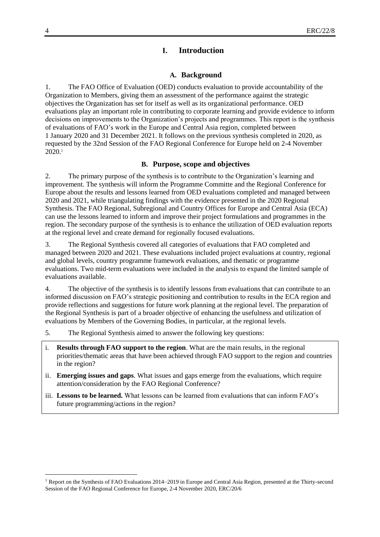## **I. Introduction**

#### **A. Background**

1. The FAO Office of Evaluation (OED) conducts evaluation to provide accountability of the Organization to Members, giving them an assessment of the performance against the strategic objectives the Organization has set for itself as well as its organizational performance. OED evaluations play an important role in contributing to corporate learning and provide evidence to inform decisions on improvements to the Organization's projects and programmes. This report is the synthesis of evaluations of FAO's work in the Europe and Central Asia region, completed between 1 January 2020 and 31 December 2021. It follows on the previous synthesis completed in 2020, as requested by the 32nd Session of the FAO Regional Conference for Europe held on 2-4 November 2020.<sup>1</sup>

### **B. Purpose, scope and objectives**

2. The primary purpose of the synthesis is to contribute to the Organization's learning and improvement. The synthesis will inform the Programme Committe and the Regional Conference for Europe about the results and lessons learned from OED evaluations completed and managed between 2020 and 2021, while triangulating findings with the evidence presented in the 2020 Regional Synthesis. The FAO Regional, Subregional and Country Offices for Europe and Central Asia (ECA) can use the lessons learned to inform and improve their project formulations and programmes in the region. The secondary purpose of the synthesis is to enhance the utilization of OED evaluation reports at the regional level and create demand for regionally focused evaluations.

3. The Regional Synthesis covered all categories of evaluations that FAO completed and managed between 2020 and 2021. These evaluations included project evaluations at country, regional and global levels, country programme framework evaluations, and thematic or programme evaluations. Two mid-term evaluations were included in the analysis to expand the limited sample of evaluations available.

4. The objective of the synthesis is to identify lessons from evaluations that can contribute to an informed discussion on FAO's strategic positioning and contribution to results in the ECA region and provide reflections and suggestions for future work planning at the regional level. The preparation of the Regional Synthesis is part of a broader objective of enhancing the usefulness and utilization of evaluations by Members of the Governing Bodies, in particular, at the regional levels.

- 5. The Regional Synthesis aimed to answer the following key questions:
- i. **Results through FAO support to the region**. What are the main results, in the regional priorities/thematic areas that have been achieved through FAO support to the region and countries in the region?
- ii. **Emerging issues and gaps**. What issues and gaps emerge from the evaluations, which require attention/consideration by the FAO Regional Conference?
- iii. **Lessons to be learned.** What lessons can be learned from evaluations that can inform FAO's future programming/actions in the region?

l

<sup>&</sup>lt;sup>1</sup> Report on the Synthesis of FAO Evaluations 2014–2019 in Europe and Central Asia Region, presented at the Thirty-second Session of the FAO Regional Conference for Europe, 2-4 November 2020, ERC/20/6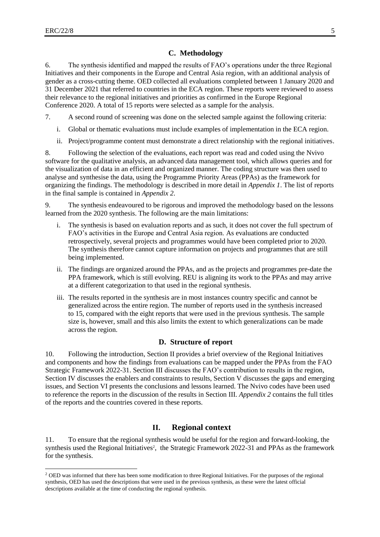$\overline{a}$ 

#### **C. Methodology**

6. The synthesis identified and mapped the results of FAO's operations under the three Regional Initiatives and their components in the Europe and Central Asia region, with an additional analysis of gender as a cross-cutting theme. OED collected all evaluations completed between 1 January 2020 and 31 December 2021 that referred to countries in the ECA region. These reports were reviewed to assess their relevance to the regional initiatives and priorities as confirmed in the Europe Regional Conference 2020. A total of 15 reports were selected as a sample for the analysis.

- 7. A second round of screening was done on the selected sample against the following criteria:
	- i. Global or thematic evaluations must include examples of implementation in the ECA region.
	- ii. Project/programme content must demonstrate a direct relationship with the regional initiatives.

8. Following the selection of the evaluations, each report was read and coded using the Nvivo software for the qualitative analysis, an advanced data management tool, which allows queries and for the visualization of data in an efficient and organized manner. The coding structure was then used to analyse and synthesise the data, using the Programme Priority Areas (PPAs) as the framework for organizing the findings. The methodology is described in more detail in *Appendix 1*. The list of reports in the final sample is contained in *Appendix 2*.

9. The synthesis endeavoured to be rigorous and improved the methodology based on the lessons learned from the 2020 synthesis. The following are the main limitations:

- The synthesis is based on evaluation reports and as such, it does not cover the full spectrum of FAO's activities in the Europe and Central Asia region. As evaluations are conducted retrospectively, several projects and programmes would have been completed prior to 2020. The synthesis therefore cannot capture information on projects and programmes that are still being implemented.
- ii. The findings are organized around the PPAs, and as the projects and programmes pre-date the PPA framework, which is still evolving. REU is aligning its work to the PPAs and may arrive at a different categorization to that used in the regional synthesis.
- iii. The results reported in the synthesis are in most instances country specific and cannot be generalized across the entire region. The number of reports used in the synthesis increased to 15, compared with the eight reports that were used in the previous synthesis. The sample size is, however, small and this also limits the extent to which generalizations can be made across the region.

#### **D. Structure of report**

10. Following the introduction, Section II provides a brief overview of the Regional Initiatives and components and how the findings from evaluations can be mapped under the PPAs from the FAO Strategic Framework 2022-31. Section III discusses the FAO's contribution to results in the region, Section IV discusses the enablers and constraints to results, Section V discusses the gaps and emerging issues, and Section VI presents the conclusions and lessons learned. The Nvivo codes have been used to reference the reports in the discussion of the results in Section III. *Appendix 2* contains the full titles of the reports and the countries covered in these reports.

## **II. Regional context**

11. To ensure that the regional synthesis would be useful for the region and forward-looking, the synthesis used the Regional Initiatives<sup>2</sup>, the Strategic Framework 2022-31 and PPAs as the framework for the synthesis.

<sup>2</sup> OED was informed that there has been some modification to three Regional Initiatives. For the purposes of the regional synthesis, OED has used the descriptions that were used in the previous synthesis, as these were the latest official descriptions available at the time of conducting the regional synthesis.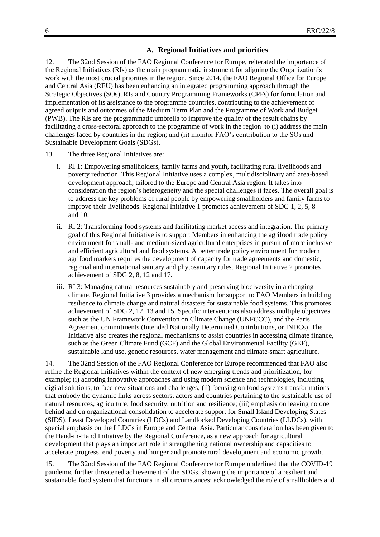### **A. Regional Initiatives and priorities**

12. The 32nd Session of the FAO Regional Conference for Europe, reiterated the importance of the Regional Initiatives (RIs) as the main programmatic instrument for aligning the Organization's work with the most crucial priorities in the region. Since 2014, the FAO Regional Office for Europe and Central Asia (REU) has been enhancing an integrated programming approach through the Strategic Objectives (SOs), RIs and Country Programming Frameworks (CPFs) for formulation and implementation of its assistance to the programme countries, contributing to the achievement of agreed outputs and outcomes of the Medium Term Plan and the Programme of Work and Budget (PWB). The RIs are the programmatic umbrella to improve the quality of the result chains by facilitating a cross-sectoral approach to the programme of work in the region to (i) address the main challenges faced by countries in the region; and (ii) monitor FAO's contribution to the SOs and Sustainable Development Goals (SDGs).

- 13. The three Regional Initiatives are:
	- i. RI 1: Empowering smallholders, family farms and youth, facilitating rural livelihoods and poverty reduction. This Regional Initiative uses a complex, multidisciplinary and area-based development approach, tailored to the Europe and Central Asia region. It takes into consideration the region's heterogeneity and the special challenges it faces. The overall goal is to address the key problems of rural people by empowering smallholders and family farms to improve their livelihoods. Regional Initiative 1 promotes achievement of SDG 1, 2, 5, 8 and 10.
	- ii. RI 2: Transforming food systems and facilitating market access and integration. The primary goal of this Regional Initiative is to support Members in enhancing the agrifood trade policy environment for small- and medium-sized agricultural enterprises in pursuit of more inclusive and efficient agricultural and food systems. A better trade policy environment for modern agrifood markets requires the development of capacity for trade agreements and domestic, regional and international sanitary and phytosanitary rules. Regional Initiative 2 promotes achievement of SDG 2, 8, 12 and 17.
	- iii. RI 3: Managing natural resources sustainably and preserving biodiversity in a changing climate. Regional Initiative 3 provides a mechanism for support to FAO Members in building resilience to climate change and natural disasters for sustainable food systems. This promotes achievement of SDG 2, 12, 13 and 15. Specific interventions also address multiple objectives such as the UN Framework Convention on Climate Change (UNFCCC), and the Paris Agreement commitments (Intended Nationally Determined Contributions, or INDCs). The Initiative also creates the regional mechanisms to assist countries in accessing climate finance, such as the Green Climate Fund (GCF) and the Global Environmental Facility (GEF), sustainable land use, genetic resources, water management and climate-smart agriculture.

14. The 32nd Session of the FAO Regional Conference for Europe recommended that FAO also refine the Regional Initiatives within the context of new emerging trends and prioritization, for example; (i) adopting innovative approaches and using modern science and technologies, including digital solutions, to face new situations and challenges; (ii) focusing on food systems transformations that embody the dynamic links across sectors, actors and countries pertaining to the sustainable use of natural resources, agriculture, food security, nutrition and resilience; (iii) emphasis on leaving no one behind and on organizational consolidation to accelerate support for Small Island Developing States (SIDS), Least Developed Countries (LDCs) and Landlocked Developing Countries (LLDCs), with special emphasis on the LLDCs in Europe and Central Asia. Particular consideration has been given to the Hand-in-Hand Initiative by the Regional Conference, as a new approach for agricultural development that plays an important role in strengthening national ownership and capacities to accelerate progress, end poverty and hunger and promote rural development and economic growth.

15. The 32nd Session of the FAO Regional Conference for Europe underlined that the COVID-19 pandemic further threatened achievement of the SDGs, showing the importance of a resilient and sustainable food system that functions in all circumstances; acknowledged the role of smallholders and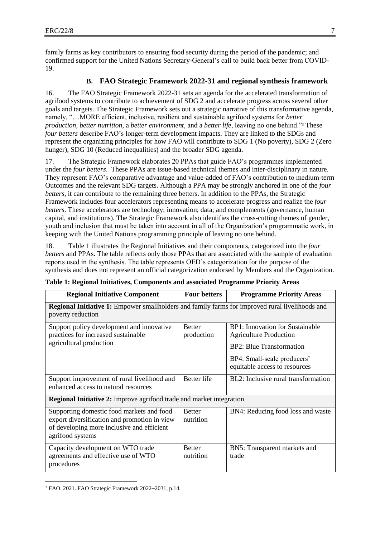family farms as key contributors to ensuring food security during the period of the pandemic; and confirmed support for the United Nations Secretary-General's call to build back better from COVID-19.

## **B. FAO Strategic Framework 2022-31 and regional synthesis framework**

16. The FAO Strategic Framework 2022-31 sets an agenda for the accelerated transformation of agrifood systems to contribute to achievement of SDG 2 and accelerate progress across several other goals and targets. The Strategic Framework sets out a strategic narrative of this transformative agenda, namely, "…MORE efficient, inclusive, resilient and sustainable agrifood systems for *better production*, *better nutrition*, a *better environment*, and a *better life*, leaving no one behind."<sup>3</sup> These *four betters* describe FAO's longer-term development impacts. They are linked to the SDGs and represent the organizing principles for how FAO will contribute to SDG 1 (No poverty), SDG 2 (Zero hunger), SDG 10 (Reduced inequalities) and the broader SDG agenda.

17. The Strategic Framework elaborates 20 PPAs that guide FAO's programmes implemented under the *four betters*. These PPAs are issue-based technical themes and inter-disciplinary in nature. They represent FAO's comparative advantage and value-added of FAO's contribution to medium-term Outcomes and the relevant SDG targets. Although a PPA may be strongly anchored in one of the *four betters*, it can contribute to the remaining three betters. In addition to the PPAs, the Strategic Framework includes four accelerators representing means to accelerate progress and realize the *four betters*. These accelerators are technology; innovation; data; and complements (governance, human capital, and institutions). The Strategic Framework also identifies the cross-cutting themes of gender, youth and inclusion that must be taken into account in all of the Organization's programmatic work, in keeping with the United Nations programming principle of leaving no one behind.

18. Table 1 illustrates the Regional Initiatives and their components, categorized into the *four betters* and PPAs. The table reflects only those PPAs that are associated with the sample of evaluation reports used in the synthesis. The table represents OED's categorization for the purpose of the synthesis and does not represent an official categorization endorsed by Members and the Organization.

| <b>Regional Initiative Component</b>                                                                                                                        | <b>Four betters</b>         | <b>Programme Priority Areas</b>                                                                                                                                     |  |
|-------------------------------------------------------------------------------------------------------------------------------------------------------------|-----------------------------|---------------------------------------------------------------------------------------------------------------------------------------------------------------------|--|
| <b>Regional Initiative 1:</b> Empower smallholders and family farms for improved rural livelihoods and<br>poverty reduction                                 |                             |                                                                                                                                                                     |  |
| Support policy development and innovative<br>practices for increased sustainable<br>agricultural production                                                 | <b>Better</b><br>production | <b>BP1:</b> Innovation for Sustainable<br><b>Agriculture Production</b><br>BP2: Blue Transformation<br>BP4: Small-scale producers'<br>equitable access to resources |  |
| Support improvement of rural livelihood and<br>enhanced access to natural resources                                                                         | <b>Better</b> life          | BL2: Inclusive rural transformation                                                                                                                                 |  |
| <b>Regional Initiative 2:</b> Improve agrifood trade and market integration                                                                                 |                             |                                                                                                                                                                     |  |
| Supporting domestic food markets and food<br>export diversification and promotion in view<br>of developing more inclusive and efficient<br>agrifood systems | <b>Better</b><br>nutrition  | BN4: Reducing food loss and waste                                                                                                                                   |  |
| Capacity development on WTO trade<br>agreements and effective use of WTO<br>procedures                                                                      | <b>Better</b><br>nutrition  | BN5: Transparent markets and<br>trade                                                                                                                               |  |

| Table 1: Regional Initiatives, Components and associated Programme Priority Areas |  |
|-----------------------------------------------------------------------------------|--|
|                                                                                   |  |

 $\overline{a}$ <sup>3</sup> FAO. 2021. FAO Strategic Framework 2022–2031, p.14.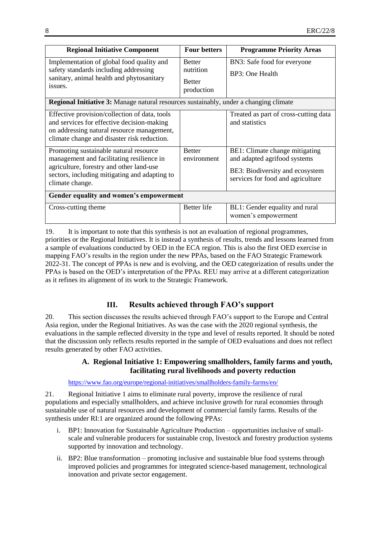| <b>Regional Initiative Component</b>                                                                                                                                                                                                       | <b>Four betters</b>                                       | <b>Programme Priority Areas</b>                                                                                                        |
|--------------------------------------------------------------------------------------------------------------------------------------------------------------------------------------------------------------------------------------------|-----------------------------------------------------------|----------------------------------------------------------------------------------------------------------------------------------------|
| Implementation of global food quality and<br>safety standards including addressing<br>sanitary, animal health and phytosanitary<br>issues.<br><b>Regional Initiative 3:</b> Manage natural resources sustainably, under a changing climate | <b>Better</b><br>nutrition<br><b>Better</b><br>production | BN3: Safe food for everyone<br>BP3: One Health                                                                                         |
| Effective provision/collection of data, tools<br>and services for effective decision-making<br>on addressing natural resource management,<br>climate change and disaster risk reduction.                                                   |                                                           | Treated as part of cross-cutting data<br>and statistics                                                                                |
| Promoting sustainable natural resource<br>management and facilitating resilience in<br>agriculture, forestry and other land-use<br>sectors, including mitigating and adapting to<br>climate change.                                        | <b>Better</b><br>environment                              | BE1: Climate change mitigating<br>and adapted agrifood systems<br>BE3: Biodiversity and ecosystem<br>services for food and agriculture |
| Gender equality and women's empowerment                                                                                                                                                                                                    |                                                           |                                                                                                                                        |
| Cross-cutting theme                                                                                                                                                                                                                        | Better life                                               | BL1: Gender equality and rural<br>women's empowerment                                                                                  |

19. It is important to note that this synthesis is not an evaluation of regional programmes, priorities or the Regional Initiatives. It is instead a synthesis of results, trends and lessons learned from a sample of evaluations conducted by OED in the ECA region. This is also the first OED exercise in mapping FAO's results in the region under the new PPAs, based on the FAO Strategic Framework 2022-31. The concept of PPAs is new and is evolving, and the OED categorization of results under the PPAs is based on the OED's interpretation of the PPAs. REU may arrive at a different categorization as it refines its alignment of its work to the Strategic Framework.

## **III. Results achieved through FAO's support**

20. This section discusses the results achieved through FAO's support to the Europe and Central Asia region, under the Regional Initiatives. As was the case with the 2020 regional synthesis, the evaluations in the sample reflected diversity in the type and level of results reported. It should be noted that the discussion only reflects results reported in the sample of OED evaluations and does not reflect results generated by other FAO activities.

## **A. Regional Initiative 1: Empowering smallholders, family farms and youth, facilitating rural livelihoods and poverty reduction**

<https://www.fao.org/europe/regional-initiatives/smallholders-family-farms/en/>

21. Regional Initiative 1 aims to eliminate rural poverty, improve the resilience of rural populations and especially smallholders, and achieve inclusive growth for rural economies through sustainable use of natural resources and development of commercial family farms. Results of the synthesis under RI:1 are organized around the following PPAs:

- i. BP1: Innovation for Sustainable Agriculture Production opportunities inclusive of smallscale and vulnerable producers for sustainable crop, livestock and forestry production systems supported by innovation and technology.
- ii. BP2: Blue transformation promoting inclusive and sustainable blue food systems through improved policies and programmes for integrated science-based management, technological innovation and private sector engagement.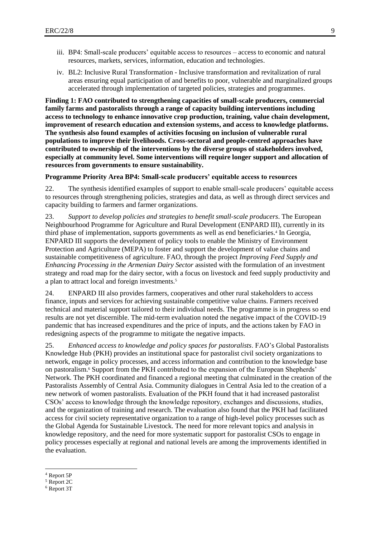- iii. BP4: Small-scale producers' equitable access to resources access to economic and natural resources, markets, services, information, education and technologies.
- iv. BL2: Inclusive Rural Transformation Inclusive transformation and revitalization of rural areas ensuring equal participation of and benefits to poor, vulnerable and marginalized groups accelerated through implementation of targeted policies, strategies and programmes.

**Finding 1: FAO contributed to strengthening capacities of small-scale producers, commercial family farms and pastoralists through a range of capacity building interventions including access to technology to enhance innovative crop production, training, value chain development, improvement of research education and extension systems, and access to knowledge platforms. The synthesis also found examples of activities focusing on inclusion of vulnerable rural populations to improve their livelihoods. Cross-sectoral and people-centred approaches have contributed to ownership of the interventions by the diverse groups of stakeholders involved, especially at community level. Some interventions will require longer support and allocation of resources from governments to ensure sustainability.**

#### **Programme Priority Area BP4: Small-scale producers' equitable access to resources**

22. The synthesis identified examples of support to enable small-scale producers' equitable access to resources through strengthening policies, strategies and data, as well as through direct services and capacity building to farmers and farmer organizations.

23. *Support to develop policies and strategies to benefit small-scale producers*. The European Neighbourhood Programme for Agriculture and Rural Development (ENPARD III), currently in its third phase of implementation, supports governments as well as end beneficiaries.<sup>4</sup> In Georgia, ENPARD III supports the development of policy tools to enable the Ministry of Environment Protection and Agriculture (MEPA) to foster and support the development of value chains and sustainable competitiveness of agriculture. FAO, through the project *Improving Feed Supply and Enhancing Processing in the Armenian Dairy Sector* assisted with the formulation of an investment strategy and road map for the dairy sector, with a focus on livestock and feed supply productivity and a plan to attract local and foreign investments.<sup>5</sup>

24. ENPARD III also provides farmers, cooperatives and other rural stakeholders to access finance, inputs and services for achieving sustainable competitive value chains. Farmers received technical and material support tailored to their individual needs. The programme is in progress so end results are not yet discernible. The mid-term evaluation noted the negative impact of the COVID-19 pandemic that has increased expenditures and the price of inputs, and the actions taken by FAO in redesigning aspects of the programme to mitigate the negative impacts.

25. *Enhanced access to knowledge and policy spaces for pastoralists*. FAO's Global Pastoralists Knowledge Hub (PKH) provides an institutional space for pastoralist civil society organizations to network, engage in policy processes, and access information and contribution to the knowledge base on pastoralism.<sup>6</sup> Support from the PKH contributed to the expansion of the European Shepherds' Network. The PKH coordinated and financed a regional meeting that culminated in the creation of the Pastoralists Assembly of Central Asia. Community dialogues in Central Asia led to the creation of a new network of women pastoralists. Evaluation of the PKH found that it had increased pastoralist CSOs' access to knowledge through the knowledge repository, exchanges and discussions, studies, and the organization of training and research. The evaluation also found that the PKH had facilitated access for civil society representative organization to a range of high-level policy processes such as the Global Agenda for Sustainable Livestock. The need for more relevant topics and analysis in knowledge repository, and the need for more systematic support for pastoralist CSOs to engage in policy processes especially at regional and national levels are among the improvements identified in the evaluation.

<sup>4</sup> Report 5P

<sup>5</sup> Report 2C

<sup>6</sup> Report 3T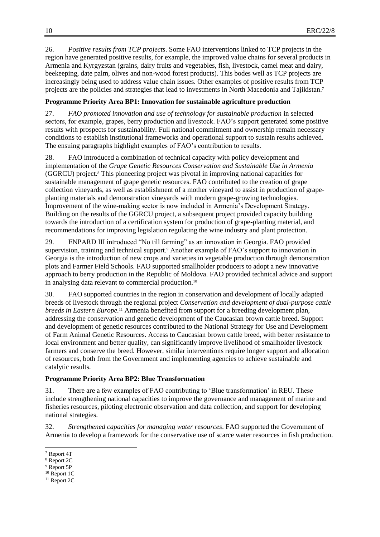26. *Positive results from TCP projects*. Some FAO interventions linked to TCP projects in the region have generated positive results, for example, the improved value chains for several products in Armenia and Kyrgyzstan (grains, dairy fruits and vegetables, fish, livestock, camel meat and dairy, beekeeping, date palm, olives and non-wood forest products). This bodes well as TCP projects are increasingly being used to address value chain issues. Other examples of positive results from TCP projects are the policies and strategies that lead to investments in North Macedonia and Tajikistan.<sup>7</sup>

## **Programme Priority Area BP1: Innovation for sustainable agriculture production**

27. *FAO promoted innovation and use of technology for sustainable production* in selected sectors, for example, grapes, berry production and livestock. FAO's support generated some positive results with prospects for sustainability. Full national commitment and ownership remain necessary conditions to establish institutional frameworks and operational support to sustain results achieved. The ensuing paragraphs highlight examples of FAO's contribution to results.

28. FAO introduced a combination of technical capacity with policy development and implementation of the *Grape Genetic Resources Conservation and Sustainable Use in Armenia* (GGRCU) project.<sup>8</sup> This pioneering project was pivotal in improving national capacities for sustainable management of grape genetic resources. FAO contributed to the creation of grape collection vineyards, as well as establishment of a mother vineyard to assist in production of grapeplanting materials and demonstration vineyards with modern grape-growing technologies. Improvement of the wine-making sector is now included in Armenia's Development Strategy. Building on the results of the GGRCU project, a subsequent project provided capacity building towards the introduction of a certification system for production of grape-planting material, and recommendations for improving legislation regulating the wine industry and plant protection.

29. ENPARD III introduced "No till farming" as an innovation in Georgia. FAO provided supervision, training and technical support.<sup>9</sup> Another example of FAO's support to innovation in Georgia is the introduction of new crops and varieties in vegetable production through demonstration plots and Farmer Field Schools. FAO supported smallholder producers to adopt a new innovative approach to berry production in the Republic of Moldova. FAO provided technical advice and support in analysing data relevant to commercial production.<sup>10</sup>

30. FAO supported countries in the region in conservation and development of locally adapted breeds of livestock through the regional project *Conservation and development of dual-purpose cattle breeds in Eastern Europe.*<sup>11</sup> Armenia benefited from support for a breeding development plan, addressing the conservation and genetic development of the Caucasian brown cattle breed. Support and development of genetic resources contributed to the National Strategy for Use and Development of Farm Animal Genetic Resources. Access to Caucasian brown cattle breed, with better resistance to local environment and better quality, can significantly improve livelihood of smallholder livestock farmers and conserve the breed. However, similar interventions require longer support and allocation of resources, both from the Government and implementing agencies to achieve sustainable and catalytic results.

### **Programme Priority Area BP2: Blue Transformation**

31. There are a few examples of FAO contributing to 'Blue transformation' in REU. These include strengthening national capacities to improve the governance and management of marine and fisheries resources, piloting electronic observation and data collection, and support for developing national strategies.

32. *Strengthened capacities for managing water resources*. FAO supported the Government of Armenia to develop a framework for the conservative use of scarce water resources in fish production.

 $\overline{a}$ <sup>7</sup> Report 4T

<sup>8</sup> Report 2C

<sup>9</sup> Report 5P

<sup>&</sup>lt;sup>10</sup> Report 1C

<sup>&</sup>lt;sup>11</sup> Report 2C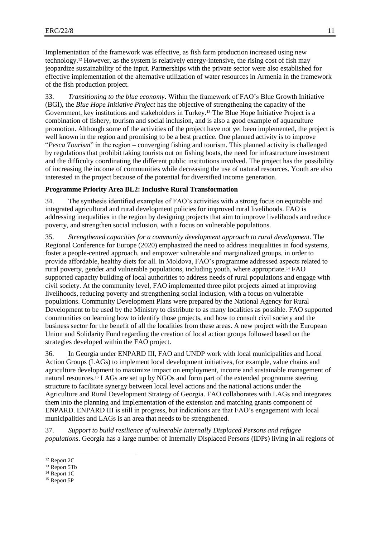Implementation of the framework was effective, as fish farm production increased using new technology.<sup>12</sup> However, as the system is relatively energy-intensive, the rising cost of fish may jeopardize sustainability of the input. Partnerships with the private sector were also established for effective implementation of the alternative utilization of water resources in Armenia in the framework of the fish production project.

33. *Transitioning to the blue economy***.** Within the framework of FAO's Blue Growth Initiative (BGI), the *Blue Hope Initiative Project* has the objective of strengthening the capacity of the Government, key institutions and stakeholders in Turkey.<sup>13</sup> The Blue Hope Initiative Project is a combination of fishery, tourism and social inclusion, and is also a good example of aquaculture promotion. Although some of the activities of the project have not yet been implemented, the project is well known in the region and promising to be a best practice. One planned activity is to improve "*Pesca Tourism*" in the region – converging fishing and tourism. This planned activity is challenged by regulations that prohibit taking tourists out on fishing boats, the need for infrastructure investment and the difficulty coordinating the different public institutions involved. The project has the possibility of increasing the income of communities while decreasing the use of natural resources. Youth are also interested in the project because of the potential for diversified income generation.

## **Programme Priority Area BL2: Inclusive Rural Transformation**

34. The synthesis identified examples of FAO's activities with a strong focus on equitable and integrated agricultural and rural development policies for improved rural livelihoods. FAO is addressing inequalities in the region by designing projects that aim to improve livelihoods and reduce poverty, and strengthen social inclusion, with a focus on vulnerable populations.

35. *Strengthened capacities for a community development approach to rural development*. The Regional Conference for Europe (2020) emphasized the need to address inequalities in food systems, foster a people-centred approach, and empower vulnerable and marginalized groups, in order to provide affordable, healthy diets for all. In Moldova, FAO's programme addressed aspects related to rural poverty, gender and vulnerable populations, including youth, where appropriate.<sup>14</sup> FAO supported capacity building of local authorities to address needs of rural populations and engage with civil society. At the community level, FAO implemented three pilot projects aimed at improving livelihoods, reducing poverty and strengthening social inclusion, with a focus on vulnerable populations. Community Development Plans were prepared by the National Agency for Rural Development to be used by the Ministry to distribute to as many localities as possible. FAO supported communities on learning how to identify those projects, and how to consult civil society and the business sector for the benefit of all the localities from these areas. A new project with the European Union and Solidarity Fund regarding the creation of local action groups followed based on the strategies developed within the FAO project.

36. In Georgia under ENPARD III, FAO and UNDP work with local municipalities and Local Action Groups (LAGs) to implement local development initiatives, for example, value chains and agriculture development to maximize impact on employment, income and sustainable management of natural resources.<sup>15</sup> LAGs are set up by NGOs and form part of the extended programme steering structure to facilitate synergy between local level actions and the national actions under the Agriculture and Rural Development Strategy of Georgia. FAO collaborates with LAGs and integrates them into the planning and implementation of the extension and matching grants component of ENPARD. ENPARD III is still in progress, but indications are that FAO's engagement with local municipalities and LAGs is an area that needs to be strengthened.

37. *Support to build resilience of vulnerable Internally Displaced Persons and refugee populations*. Georgia has a large number of Internally Displaced Persons (IDPs) living in all regions of

l

<sup>12</sup> Report 2C

<sup>&</sup>lt;sup>13</sup> Report 5Tb

<sup>&</sup>lt;sup>14</sup> Report 1C

<sup>15</sup> Report 5P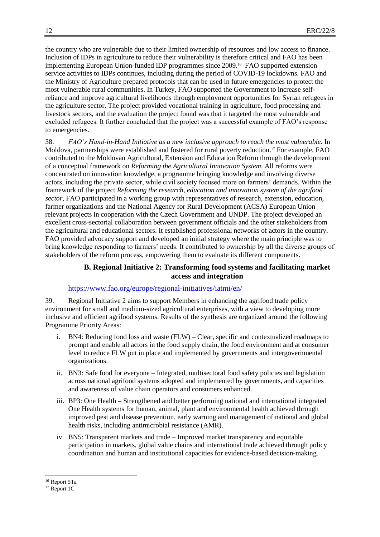the country who are vulnerable due to their limited ownership of resources and low access to finance. Inclusion of IDPs in agriculture to reduce their vulnerability is therefore critical and FAO has been implementing European Union-funded IDP programmes since 2009.<sup>16</sup> FAO supported extension service activities to IDPs continues, including during the period of COVID-19 lockdowns. FAO and the Ministry of Agriculture prepared protocols that can be used in future emergencies to protect the most vulnerable rural communities. In Turkey, FAO supported the Government to increase selfreliance and improve agricultural livelihoods through employment opportunities for Syrian refugees in the agriculture sector. The project provided vocational training in agriculture, food processing and livestock sectors, and the evaluation the project found was that it targeted the most vulnerable and excluded refugees. It further concluded that the project was a successful example of FAO's response to emergencies.

38. *FAO's Hand-in-Hand Initiative as a new inclusive approach to reach the most vulnerable***.** In Moldova, partnerships were established and fostered for rural poverty reduction. <sup>17</sup> For example, FAO contributed to the Moldovan Agricultural, Extension and Education Reform through the development of a conceptual framework on *Reforming the Agricultural Innovation System*. All reforms were concentrated on innovation knowledge, a programme bringing knowledge and involving diverse actors, including the private sector, while civil society focused more on farmers' demands. Within the framework of the project *Reforming the research, education and innovation system of the agrifood sector*, FAO participated in a working group with representatives of research, extension, education, farmer organizations and the National Agency for Rural Development (ACSA) European Union relevant projects in cooperation with the Czech Government and UNDP. The project developed an excellent cross-sectorial collaboration between government officials and the other stakeholders from the agricultural and educational sectors. It established professional networks of actors in the country. FAO provided advocacy support and developed an initial strategy where the main principle was to bring knowledge responding to farmers' needs. It contributed to ownership by all the diverse groups of stakeholders of the reform process, empowering them to evaluate its different components.

## **B. Regional Initiative 2: Transforming food systems and facilitating market access and integration**

### <https://www.fao.org/europe/regional-initiatives/iatmi/en/>

39. Regional Initiative 2 aims to support Members in enhancing the agrifood trade policy environment for small and medium-sized agricultural enterprises, with a view to developing more inclusive and efficient agrifood systems. Results of the synthesis are organized around the following Programme Priority Areas:

- i. BN4: Reducing food loss and waste (FLW) Clear, specific and contextualized roadmaps to prompt and enable all actors in the food supply chain, the food environment and at consumer level to reduce FLW put in place and implemented by governments and intergovernmental organizations.
- ii. BN3: Safe food for everyone Integrated, multisectoral food safety policies and legislation across national agrifood systems adopted and implemented by governments, and capacities and awareness of value chain operators and consumers enhanced.
- iii. BP3: One Health Strengthened and better performing national and international integrated One Health systems for human, animal, plant and environmental health achieved through improved pest and disease prevention, early warning and management of national and global health risks, including antimicrobial resistance (AMR).
- iv. BN5: Transparent markets and trade Improved market transparency and equitable participation in markets, global value chains and international trade achieved through policy coordination and human and institutional capacities for evidence-based decision-making.

l <sup>16</sup> Report 5Ta

<sup>&</sup>lt;sup>17</sup> Report 1C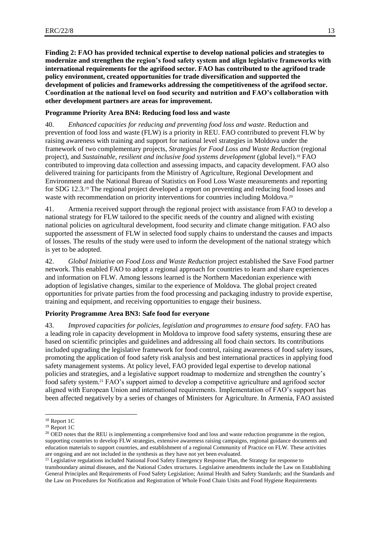**Finding 2: FAO has provided technical expertise to develop national policies and strategies to modernize and strengthen the region's food safety system and align legislative frameworks with international requirements for the agrifood sector. FAO has contributed to the agrifood trade policy environment, created opportunities for trade diversification and supported the development of policies and frameworks addressing the competitiveness of the agrifood sector. Coordination at the national level on food security and nutrition and FAO's collaboration with other development partners are areas for improvement.**

## **Programme Priority Area BN4: Reducing food loss and waste**

40. *Enhanced capacities for reducing and preventing food loss and waste*. Reduction and prevention of food loss and waste (FLW) is a priority in REU. FAO contributed to prevent FLW by raising awareness with training and support for national level strategies in Moldova under the framework of two complementary projects, *Strategies for Food Loss and Waste Reduction* (regional project), and *Sustainable, resilient and inclusive food systems development* (global level).<sup>18</sup> FAO contributed to improving data collection and assessing impacts, and capacity development. FAO also delivered training for participants from the Ministry of Agriculture, Regional Development and Environment and the National Bureau of Statistics on Food Loss Waste measurements and reporting for SDG 12.3.<sup>19</sup> The regional project developed a report on preventing and reducing food losses and waste with recommendation on priority interventions for countries including Moldova.<sup>20</sup>

41. Armenia received support through the regional project with assistance from FAO to develop a national strategy for FLW tailored to the specific needs of the country and aligned with existing national policies on agricultural development, food security and climate change mitigation. FAO also supported the assessment of FLW in selected food supply chains to understand the causes and impacts of losses. The results of the study were used to inform the development of the national strategy which is yet to be adopted.

42. *Global Initiative on Food Loss and Waste Reduction* project established the Save Food partner network. This enabled FAO to adopt a regional approach for countries to learn and share experiences and information on FLW. Among lessons learned is the Northern Macedonian experience with adoption of legislative changes, similar to the experience of Moldova. The global project created opportunities for private parties from the food processing and packaging industry to provide expertise, training and equipment, and receiving opportunities to engage their business.

## **Priority Programme Area BN3: Safe food for everyone**

43. *Improved capacities for policies, legislation and programmes to ensure food safety.* FAO has a leading role in capacity development in Moldova to improve food safety systems, ensuring these are based on scientific principles and guidelines and addressing all food chain sectors. Its contributions included upgrading the legislative framework for food control, raising awareness of food safety issues, promoting the application of food safety risk analysis and best international practices in applying food safety management systems. At policy level, FAO provided legal expertise to develop national policies and strategies, and a legislative support roadmap to modernize and strengthen the country's food safety system.<sup>21</sup> FAO's support aimed to develop a competitive agriculture and agrifood sector aligned with European Union and international requirements. Implementation of FAO's support has been affected negatively by a series of changes of Ministers for Agriculture. In Armenia, FAO assisted

<sup>18</sup> Report 1C

<sup>&</sup>lt;sup>19</sup> Report 1C

<sup>&</sup>lt;sup>20</sup> OED notes that the REU is implementing a comprehensive food and loss and waste reduction programme in the region, supporting countries to develop FLW strategies, extensive awareness raising campaigns, regional guidance documents and education materials to support countries, and establishment of a regional Community of Practice on FLW. These activities are ongoing and are not included in the synthesis as they have not yet been evaluated.

<sup>&</sup>lt;sup>21</sup> Legislative regulations included National Food Safety Emergency Response Plan, the Strategy for response to transboundary animal diseases, and the National Codex structures. Legislative amendments include the Law on Establishing General Principles and Requirements of Food Safety Legislation; Animal Health and Safety Standards; and the Standards and the Law on Procedures for Notification and Registration of Whole Food Chain Units and Food Hygiene Requirements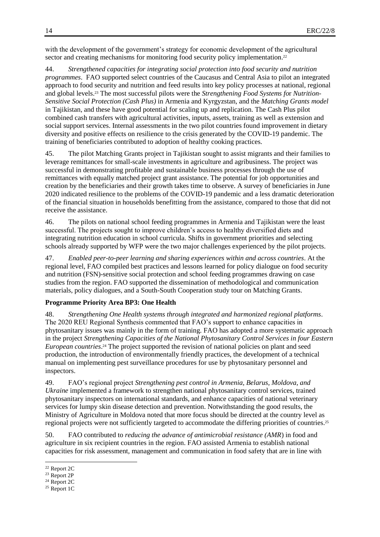with the development of the government's strategy for economic development of the agricultural sector and creating mechanisms for monitoring food security policy implementation.<sup>22</sup>

44. *Strengthened capacities for integrating social protection into food security and nutrition programmes*. FAO supported select countries of the Caucasus and Central Asia to pilot an integrated approach to food security and nutrition and feed results into key policy processes at national, regional and global levels.<sup>23</sup> The most successful pilots were the *Strengthening Food Systems fo*r *Nutrition-Sensitive Social Protection (Cash Plus)* in Armenia and Kyrgyzstan, and the *Matching Grants model* in Tajikistan, and these have good potential for scaling up and replication. The Cash Plus pilot combined cash transfers with agricultural activities, inputs, assets, training as well as extension and social support services. Internal assessments in the two pilot countries found improvement in dietary diversity and positive effects on resilience to the crisis generated by the COVID-19 pandemic. The training of beneficiaries contributed to adoption of healthy cooking practices.

45. The pilot Matching Grants project in Tajikistan sought to assist migrants and their families to leverage remittances for small-scale investments in agriculture and agribusiness. The project was successful in demonstrating profitable and sustainable business processes through the use of remittances with equally matched project grant assistance. The potential for job opportunities and creation by the beneficiaries and their growth takes time to observe. A survey of beneficiaries in June 2020 indicated resilience to the problems of the COVID-19 pandemic and a less dramatic deterioration of the financial situation in households benefitting from the assistance, compared to those that did not receive the assistance.

46. The pilots on national school feeding programmes in Armenia and Tajikistan were the least successful. The projects sought to improve children's access to healthy diversified diets and integrating nutrition education in school curricula. Shifts in government priorities and selecting schools already supported by WFP were the two major challenges experienced by the pilot projects.

47. *Enabled peer-to-peer learning and sharing experiences within and across countries*. At the regional level, FAO compiled best practices and lessons learned for policy dialogue on food security and nutrition (FSN)-sensitive social protection and school feeding programmes drawing on case studies from the region. FAO supported the dissemination of methodological and communication materials, policy dialogues, and a South-South Cooperation study tour on Matching Grants.

### **Programme Priority Area BP3: One Health**

48. *Strengthening One Health systems through integrated and harmonized regional platforms*. The 2020 REU Regional Synthesis commented that FAO's support to enhance capacities in phytosanitary issues was mainly in the form of training. FAO has adopted a more systematic approach in the project *Strengthening Capacities of the National Phytosanitary Control Services in four Eastern European countries*. <sup>24</sup> The project supported the revision of national policies on plant and seed production, the introduction of environmentally friendly practices, the development of a technical manual on implementing pest surveillance procedures for use by phytosanitary personnel and inspectors.

49. FAO's regional project *Strengthening pest control in Armenia, Belarus, Moldova, and Ukraine* implemented a framework to strengthen national phytosanitary control services, trained phytosanitary inspectors on international standards, and enhance capacities of national veterinary services for lumpy skin disease detection and prevention. Notwithstanding the good results, the Ministry of Agriculture in Moldova noted that more focus should be directed at the country level as regional projects were not sufficiently targeted to accommodate the differing priorities of countries.<sup>25</sup>

50. FAO contributed to *reducing the advance of antimicrobial resistance (AMR*) in food and agriculture in six recipient countries in the region. FAO assisted Armenia to establish national capacities for risk assessment, management and communication in food safety that are in line with

<sup>22</sup> Report 2C

<sup>23</sup> Report 2P

<sup>24</sup> Report 2C

<sup>25</sup> Report 1C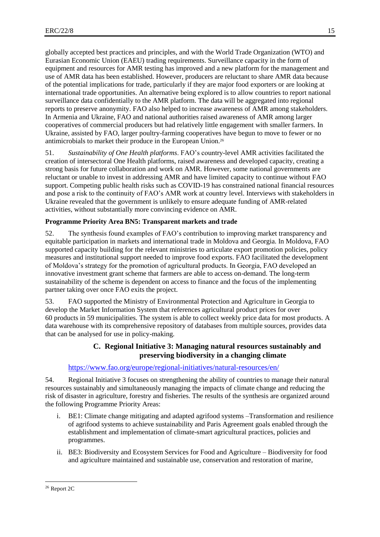globally accepted best practices and principles, and with the World Trade Organization (WTO) and Eurasian Economic Union (EAEU) trading requirements. Surveillance capacity in the form of equipment and resources for AMR testing has improved and a new platform for the management and use of AMR data has been established. However, producers are reluctant to share AMR data because of the potential implications for trade, particularly if they are major food exporters or are looking at international trade opportunities. An alternative being explored is to allow countries to report national surveillance data confidentially to the AMR platform. The data will be aggregated into regional reports to preserve anonymity. FAO also helped to increase awareness of AMR among stakeholders. In Armenia and Ukraine, FAO and national authorities raised awareness of AMR among larger cooperatives of commercial producers but had relatively little engagement with smaller farmers. In Ukraine, assisted by FAO, larger poultry-farming cooperatives have begun to move to fewer or no antimicrobials to market their produce in the European Union.<sup>26</sup>

51. *Sustainability of One Health platforms*. FAO's country-level AMR activities facilitated the creation of intersectoral One Health platforms, raised awareness and developed capacity, creating a strong basis for future collaboration and work on AMR. However, some national governments are reluctant or unable to invest in addressing AMR and have limited capacity to continue without FAO support. Competing public health risks such as COVID-19 has constrained national financial resources and pose a risk to the continuity of FAO's AMR work at country level. Interviews with stakeholders in Ukraine revealed that the government is unlikely to ensure adequate funding of AMR-related activities, without substantially more convincing evidence on AMR.

## **Programme Priority Area BN5: Transparent markets and trade**

52. The synthesis found examples of FAO's contribution to improving market transparency and equitable participation in markets and international trade in Moldova and Georgia. In Moldova, FAO supported capacity building for the relevant ministries to articulate export promotion policies, policy measures and institutional support needed to improve food exports. FAO facilitated the development of Moldova's strategy for the promotion of agricultural products. In Georgia, FAO developed an innovative investment grant scheme that farmers are able to access on-demand. The long-term sustainability of the scheme is dependent on access to finance and the focus of the implementing partner taking over once FAO exits the project.

53. FAO supported the Ministry of Environmental Protection and Agriculture in Georgia to develop the Market Information System that references agricultural product prices for over 60 products in 59 municipalities. The system is able to collect weekly price data for most products. A data warehouse with its comprehensive repository of databases from multiple sources, provides data that can be analysed for use in policy-making.

## **C. Regional Initiative 3: Managing natural resources sustainably and preserving biodiversity in a changing climate**

## <https://www.fao.org/europe/regional-initiatives/natural-resources/en/>

54. Regional Initiative 3 focuses on strengthening the ability of countries to manage their natural resources sustainably and simultaneously managing the impacts of climate change and reducing the risk of disaster in agriculture, forestry and fisheries. The results of the synthesis are organized around the following Programme Priority Areas:

- i. BE1: Climate change mitigating and adapted agrifood systems –Transformation and resilience of agrifood systems to achieve sustainability and Paris Agreement goals enabled through the establishment and implementation of climate-smart agricultural practices, policies and programmes.
- ii. BE3: Biodiversity and Ecosystem Services for Food and Agriculture Biodiversity for food and agriculture maintained and sustainable use, conservation and restoration of marine,

<sup>26</sup> Report 2C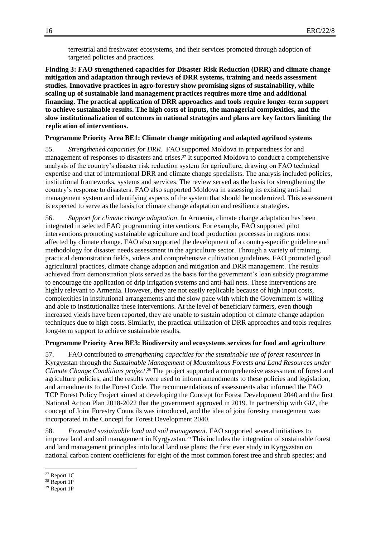terrestrial and freshwater ecosystems, and their services promoted through adoption of targeted policies and practices.

**Finding 3: FAO strengthened capacities for Disaster Risk Reduction (DRR) and climate change mitigation and adaptation through reviews of DRR systems, training and needs assessment studies. Innovative practices in agro-forestry show promising signs of sustainability, while scaling up of sustainable land management practices requires more time and additional financing. The practical application of DRR approaches and tools require longer-term support to achieve sustainable results. The high costs of inputs, the managerial complexities, and the slow institutionalization of outcomes in national strategies and plans are key factors limiting the replication of interventions.**

### **Programme Priority Area BE1: Climate change mitigating and adapted agrifood systems**

55. *Strengthened capacities for DRR*. FAO supported Moldova in preparedness for and management of responses to disasters and crises. <sup>27</sup> It supported Moldova to conduct a comprehensive analysis of the country's disaster risk reduction system for agriculture, drawing on FAO technical expertise and that of international DRR and climate change specialists. The analysis included policies, institutional frameworks, systems and services. The review served as the basis for strengthening the country's response to disasters. FAO also supported Moldova in assessing its existing anti-hail management system and identifying aspects of the system that should be modernized. This assessment is expected to serve as the basis for climate change adaptation and resilience strategies.

56. *Support for climate change adaptation*. In Armenia, climate change adaptation has been integrated in selected FAO programming interventions. For example, FAO supported pilot interventions promoting sustainable agriculture and food production processes in regions most affected by climate change. FAO also supported the development of a country-specific guideline and methodology for disaster needs assessment in the agriculture sector. Through a variety of training, practical demonstration fields, videos and comprehensive cultivation guidelines, FAO promoted good agricultural practices, climate change adaption and mitigation and DRR management. The results achieved from demonstration plots served as the basis for the government's loan subsidy programme to encourage the application of drip irrigation systems and anti-hail nets. These interventions are highly relevant to Armenia. However, they are not easily replicable because of high input costs, complexities in institutional arrangements and the slow pace with which the Government is willing and able to institutionalize these interventions. At the level of beneficiary farmers, even though increased yields have been reported, they are unable to sustain adoption of climate change adaption techniques due to high costs. Similarly, the practical utilization of DRR approaches and tools requires long-term support to achieve sustainable results.

#### **Programme Priority Area BE3: Biodiversity and ecosystems services for food and agriculture**

57. FAO contributed to *strengthening capacities for the sustainable use of forest resources* in Kyrgyzstan through the *Sustainable Management of Mountainous Forests and Land Resources under Climate Change Conditions project*. <sup>28</sup> The project supported a comprehensive assessment of forest and agriculture policies, and the results were used to inform amendments to these policies and legislation, and amendments to the Forest Code. The recommendations of assessments also informed the FAO TCP Forest Policy Project aimed at developing the Concept for Forest Development 2040 and the first National Action Plan 2018-2022 that the government approved in 2019. In partnership with GIZ, the concept of Joint Forestry Councils was introduced, and the idea of joint forestry management was incorporated in the Concept for Forest Development 2040.

58. *Promoted sustainable land and soil management*. FAO supported several initiatives to improve land and soil management in Kyrgyzstan.<sup>29</sup> This includes the integration of sustainable forest and land management principles into local land use plans; the first ever study in Kyrgyzstan on national carbon content coefficients for eight of the most common forest tree and shrub species; and

 $\overline{a}$  $27$  Report 1C

<sup>28</sup> Report 1P

<sup>29</sup> Report 1P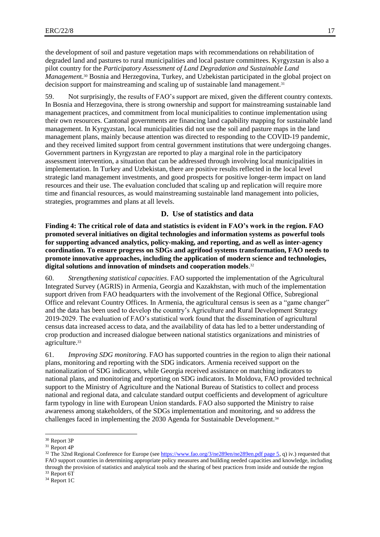the development of soil and pasture vegetation maps with recommendations on rehabilitation of degraded land and pastures to rural municipalities and local pasture committees. Kyrgyzstan is also a pilot country for the *Participatory Assessment of Land Degradation and Sustainable Land Management.*<sup>30</sup> Bosnia and Herzegovina, Turkey, and Uzbekistan participated in the global project on decision support for mainstreaming and scaling up of sustainable land management.<sup>31</sup>

59. Not surprisingly, the results of FAO's support are mixed, given the different country contexts. In Bosnia and Herzegovina, there is strong ownership and support for mainstreaming sustainable land management practices, and commitment from local municipalities to continue implementation using their own resources. Cantonal governments are financing land capability mapping for sustainable land management. In Kyrgyzstan, local municipalities did not use the soil and pasture maps in the land management plans, mainly because attention was directed to responding to the COVID-19 pandemic, and they received limited support from central government institutions that were undergoing changes. Government partners in Kyrgyzstan are reported to play a marginal role in the participatory assessment intervention, a situation that can be addressed through involving local municipalities in implementation. In Turkey and Uzbekistan, there are positive results reflected in the local level strategic land management investments, and good prospects for positive longer-term impact on land resources and their use. The evaluation concluded that scaling up and replication will require more time and financial resources, as would mainstreaming sustainable land management into policies, strategies, programmes and plans at all levels.

#### **D. Use of statistics and data**

**Finding 4: The critical role of data and statistics is evident in FAO's work in the region. FAO promoted several initiatives on digital technologies and information systems as powerful tools for supporting advanced analytics, policy-making, and reporting, and as well as inter-agency coordination. To ensure progress on SDGs and agrifood systems transformation, FAO needs to promote innovative approaches, including the application of modern science and technologies, digital solutions and innovation of mindsets and cooperation models**. 32

60. *Strengthening statistical capacities*. FAO supported the implementation of the Agricultural Integrated Survey (AGRIS) in Armenia, Georgia and Kazakhstan, with much of the implementation support driven from FAO headquarters with the involvement of the Regional Office, Subregional Office and relevant Country Offices. In Armenia, the agricultural census is seen as a "game changer" and the data has been used to develop the country's Agriculture and Rural Development Strategy 2019-2029. The evaluation of FAO's statistical work found that the dissemination of agricultural census data increased access to data, and the availability of data has led to a better understanding of crop production and increased dialogue between national statistics organizations and ministries of agriculture.<sup>33</sup>

61. *Improving SDG monitoring*. FAO has supported countries in the region to align their national plans, monitoring and reporting with the SDG indicators. Armenia received support on the nationalization of SDG indicators, while Georgia received assistance on matching indicators to national plans, and monitoring and reporting on SDG indicators. In Moldova, FAO provided technical support to the Ministry of Agriculture and the National Bureau of Statistics to collect and process national and regional data, and calculate standard output coefficients and development of agriculture farm typology in line with European Union standards. FAO also supported the Ministry to raise awareness among stakeholders, of the SDGs implementation and monitoring, and so address the challenges faced in implementing the 2030 Agenda for Sustainable Development.<sup>34</sup>

<sup>30</sup> Report 3P

<sup>31</sup> Report 4P

<sup>&</sup>lt;sup>32</sup> The 32nd Regional Conference for Europe (se[e https://www.fao.org/3/ne289en/ne289en.pdf page 5,](https://www.fao.org/3/ne289en/ne289en.pdf%20page%205) q) iv.) requested that FAO support countries in determining appropriate policy measures and building needed capacities and knowledge, including through the provision of statistics and analytical tools and the sharing of best practices from inside and outside the region <sup>33</sup> Report 6T

<sup>34</sup> Report 1C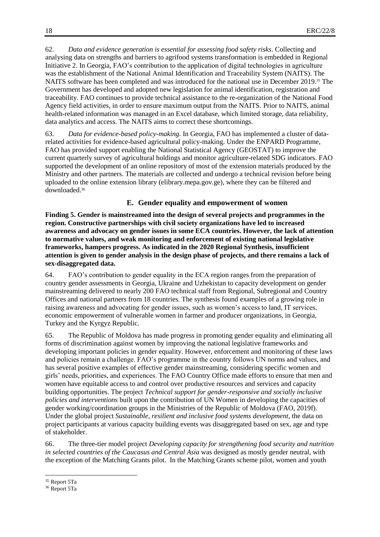62. *Data and evidence generation is essential for assessing food safety risks*. Collecting and analysing data on strengths and barriers to agrifood systems transformation is embedded in Regional Initiative 2. In Georgia, FAO's contribution to the application of digital technologies in agriculture was the establishment of the National Animal Identification and Traceability System (NAITS). The NAITS software has been completed and was introduced for the national use in December 2019. <sup>35</sup> The Government has developed and adopted new legislation for animal identification, registration and traceability. FAO continues to provide technical assistance to the re-organization of the National Food Agency field activities, in order to ensure maximum output from the NAITS. Prior to NAITS, animal health-related information was managed in an Excel database, which limited storage, data reliability, data analytics and access. The NAITS aims to correct these shortcomings.

63. *Data for evidence-based policy-making.* In Georgia, FAO has implemented a cluster of datarelated activities for evidence-based agricultural policy-making. Under the ENPARD Programme, FAO has provided support enabling the National Statistical Agency (GEOSTAT) to improve the current quarterly survey of agricultural holdings and monitor agriculture-related SDG indicators. FAO supported the development of an online repository of most of the extension materials produced by the Ministry and other partners. The materials are collected and undergo a technical revision before being uploaded to the online extension library (elibrary.mepa.gov.ge), where they can be filtered and downloaded. 36

## **E. Gender equality and empowerment of women**

**Finding 5. Gender is mainstreamed into the design of several projects and programmes in the region. Constructive partnerships with civil society organizations have led to increased awareness and advocacy on gender issues in some ECA countries. However, the lack of attention to normative values, and weak monitoring and enforcement of existing national legislative frameworks, hampers progress. As indicated in the 2020 Regional Synthesis, insufficient attention is given to gender analysis in the design phase of projects, and there remains a lack of sex-disaggregated data.** 

64. FAO's contribution to gender equality in the ECA region ranges from the preparation of country gender assessments in Georgia, Ukraine and Uzbekistan to capacity development on gender mainstreaming delivered to nearly 200 FAO technical staff from Regional, Subregional and Country Offices and national partners from 18 countries. The synthesis found examples of a growing role in raising awareness and advocating for gender issues, such as women's access to land, IT services, economic empowerment of vulnerable women in farmer and producer organizations, in Georgia, Turkey and the Kyrgyz Republic.

65. The Republic of Moldova has made progress in promoting gender equality and eliminating all forms of discrimination against women by improving the national legislative frameworks and developing important policies in gender equality. However, enforcement and monitoring of these laws and policies remain a challenge. FAO's programme in the country follows UN norms and values, and has several positive examples of effective gender mainstreaming, considering specific women and girls' needs, priorities, and experiences. The FAO Country Office made efforts to ensure that men and women have equitable access to and control over productive resources and services and capacity building opportunities. The project *Technical support for gender-responsive and socially inclusive policies and interventions* built upon the contribution of UN Women in developing the capacities of gender working/coordination groups in the Ministries of the Republic of Moldova (FAO, 2019f). Under the global project *Sustainable, resilient and inclusive food systems development,* the data on project participants at various capacity building events was disaggregated based on sex, age and type of stakeholder.

66. The three-tier model project *Developing capacity for strengthening food security and nutrition in selected countries of the Caucasus and Central Asia* was designed as mostly gender neutral, with the exception of the Matching Grants pilot. In the Matching Grants scheme pilot, women and youth

l

<sup>35</sup> Report 5Ta

<sup>36</sup> Report 5Ta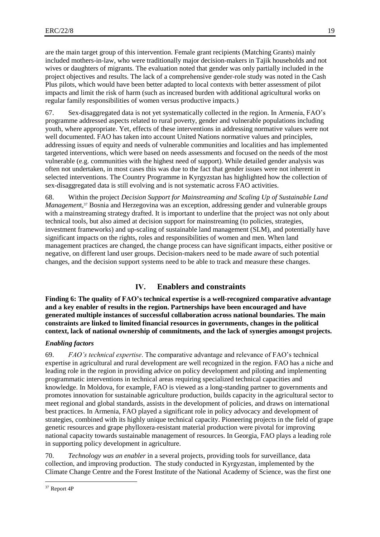are the main target group of this intervention. Female grant recipients (Matching Grants) mainly included mothers-in-law, who were traditionally major decision-makers in Tajik households and not wives or daughters of migrants. The evaluation noted that gender was only partially included in the project objectives and results. The lack of a comprehensive gender-role study was noted in the Cash Plus pilots, which would have been better adapted to local contexts with better assessment of pilot impacts and limit the risk of harm (such as increased burden with additional agricultural works on regular family responsibilities of women versus productive impacts.)

67. Sex-disaggregated data is not yet systematically collected in the region. In Armenia, FAO's programme addressed aspects related to rural poverty, gender and vulnerable populations including youth, where appropriate. Yet, effects of these interventions in addressing normative values were not well documented. FAO has taken into account United Nations normative values and principles, addressing issues of equity and needs of vulnerable communities and localities and has implemented targeted interventions, which were based on needs assessments and focused on the needs of the most vulnerable (e.g. communities with the highest need of support). While detailed gender analysis was often not undertaken, in most cases this was due to the fact that gender issues were not inherent in selected interventions. The Country Programme in Kyrgyzstan has highlighted how the collection of sex-disaggregated data is still evolving and is not systematic across FAO activities.

68. Within the project *Decision Support for Mainstreaming and Scaling Up of Sustainable Land Managemen*t, <sup>37</sup> Bosnia and Herzegovina was an exception, addressing gender and vulnerable groups with a mainstreaming strategy drafted. It is important to underline that the project was not only about technical tools, but also aimed at decision support for mainstreaming (to policies, strategies, investment frameworks) and up-scaling of sustainable land management (SLM), and potentially have significant impacts on the rights, roles and responsibilities of women and men. When land management practices are changed, the change process can have significant impacts, either positive or negative, on different land user groups. Decision-makers need to be made aware of such potential changes, and the decision support systems need to be able to track and measure these changes.

## **IV. Enablers and constraints**

**Finding 6: The quality of FAO's technical expertise is a well-recognized comparative advantage and a key enabler of results in the region. Partnerships have been encouraged and have generated multiple instances of successful collaboration across national boundaries. The main constraints are linked to limited financial resources in governments, changes in the political context, lack of national ownership of commitments, and the lack of synergies amongst projects.**

### *Enabling factors*

69. *FAO's technical expertise*. The comparative advantage and relevance of FAO's technical expertise in agricultural and rural development are well recognized in the region. FAO has a niche and leading role in the region in providing advice on policy development and piloting and implementing programmatic interventions in technical areas requiring specialized technical capacities and knowledge. In Moldova, for example, FAO is viewed as a long-standing partner to governments and promotes innovation for sustainable agriculture production, builds capacity in the agricultural sector to meet regional and global standards, assists in the development of policies, and draws on international best practices. In Armenia, FAO played a significant role in policy advocacy and development of strategies, combined with its highly unique technical capacity. Pioneering projects in the field of grape genetic resources and grape phylloxera-resistant material production were pivotal for improving national capacity towards sustainable management of resources. In Georgia, FAO plays a leading role in supporting policy development in agriculture.

70. *Technology was an enabler* in a several projects, providing tools for surveillance, data collection, and improving production. The study conducted in Kyrgyzstan, implemented by the Climate Change Centre and the Forest Institute of the National Academy of Science, was the first one

 $\overline{a}$ <sup>37</sup> Report 4P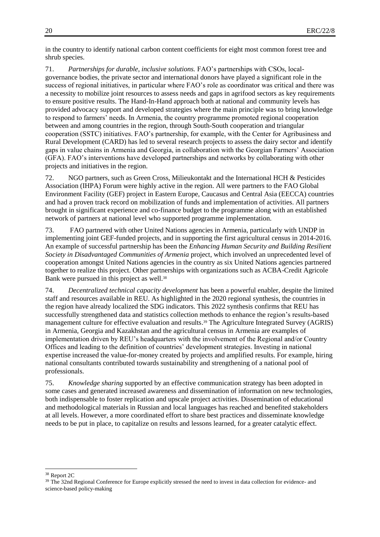in the country to identify national carbon content coefficients for eight most common forest tree and shrub species.

71. *Partnerships for durable, inclusive solutions.* FAO's partnerships with CSOs, localgovernance bodies, the private sector and international donors have played a significant role in the success of regional initiatives, in particular where FAO's role as coordinator was critical and there was a necessity to mobilize joint resources to assess needs and gaps in agrifood sectors as key requirements to ensure positive results. The Hand-In-Hand approach both at national and community levels has provided advocacy support and developed strategies where the main principle was to bring knowledge to respond to farmers' needs. In Armenia, the country programme promoted regional cooperation between and among countries in the region, through South-South cooperation and triangular cooperation (SSTC) initiatives. FAO's partnership, for example, with the Center for Agribusiness and Rural Development (CARD) has led to several research projects to assess the dairy sector and identify gaps in value chains in Armenia and Georgia, in collaboration with the Georgian Farmers' Association (GFA). FAO's interventions have developed partnerships and networks by collaborating with other projects and initiatives in the region.

72. NGO partners, such as Green Cross, Milieukontakt and the International HCH & Pesticides Association (IHPA) Forum were highly active in the region. All were partners to the FAO Global Environment Facility (GEF) project in Eastern Europe, Caucasus and Central Asia (EECCA) countries and had a proven track record on mobilization of funds and implementation of activities. All partners brought in significant experience and co-finance budget to the programme along with an established network of partners at national level who supported programme implementation.

73. FAO partnered with other United Nations agencies in Armenia, particularly with UNDP in implementing joint GEF-funded projects, and in supporting the first agricultural census in 2014-2016. An example of successful partnership has been the *Enhancing Human Security and Building Resilient Society in Disadvantaged Communities of Armenia* project, which involved an unprecedented level of cooperation amongst United Nations agencies in the country as six United Nations agencies partnered together to realize this project. Other partnerships with organizations such as ACBA-Credit Agricole Bank were pursued in this project as well.<sup>38</sup>

74. *Decentralized technical capacity development* has been a powerful enabler, despite the limited staff and resources available in REU. As highlighted in the 2020 regional synthesis, the countries in the region have already localized the SDG indicators. This 2022 synthesis confirms that REU has successfully strengthened data and statistics collection methods to enhance the region's results-based management culture for effective evaluation and results.<sup>39</sup> The Agriculture Integrated Survey (AGRIS) in Armenia, Georgia and Kazakhstan and the agricultural census in Armenia are examples of implementation driven by REU's headquarters with the involvement of the Regional and/or Country Offices and leading to the definition of countries' development strategies. Investing in national expertise increased the value-for-money created by projects and amplified results. For example, hiring national consultants contributed towards sustainability and strengthening of a national pool of professionals.

75. *Knowledge sharing* supported by an effective communication strategy has been adopted in some cases and generated increased awareness and dissemination of information on new technologies, both indispensable to foster replication and upscale project activities. Dissemination of educational and methodological materials in Russian and local languages has reached and benefited stakeholders at all levels. However, a more coordinated effort to share best practices and disseminate knowledge needs to be put in place, to capitalize on results and lessons learned, for a greater catalytic effect.

<sup>38</sup> Report 2C

<sup>&</sup>lt;sup>39</sup> The 32nd Regional Conference for Europe explicitly stressed the need to invest in data collection for evidence- and science-based policy-making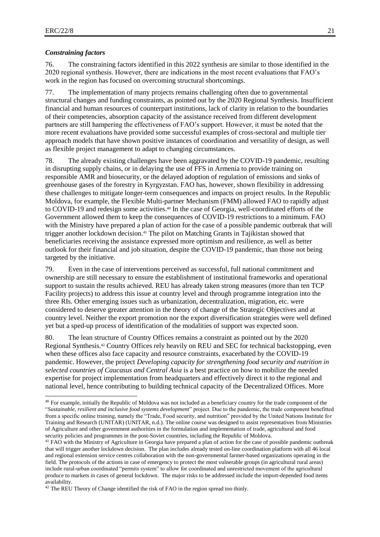l

#### *Constraining factors*

76. The constraining factors identified in this 2022 synthesis are similar to those identified in the 2020 regional synthesis. However, there are indications in the most recent evaluations that FAO's work in the region has focused on overcoming structural shortcomings.

77. The implementation of many projects remains challenging often due to governmental structural changes and funding constraints, as pointed out by the 2020 Regional Synthesis. Insufficient financial and human resources of counterpart institutions, lack of clarity in relation to the boundaries of their competencies, absorption capacity of the assistance received from different development partners are still hampering the effectiveness of FAO's support. However, it must be noted that the more recent evaluations have provided some successful examples of cross-sectoral and multiple tier approach models that have shown positive instances of coordination and versatility of design, as well as flexible project management to adapt to changing circumstances.

78. The already existing challenges have been aggravated by the COVID-19 pandemic, resulting in disrupting supply chains, or in delaying the use of FFS in Armenia to provide training on responsible AMR and biosecurity, or the delayed adoption of regulation of emissions and sinks of greenhouse gases of the forestry in Kyrgyzstan. FAO has, however, shown flexibility in addressing these challenges to mitigate longer-term consequences and impacts on project results. In the Republic Moldova, for example, the Flexible Multi-partner Mechanism (FMM) allowed FAO to rapidly adjust to COVID-19 and redesign some activities. <sup>40</sup> In the case of Georgia, well-coordinated efforts of the Government allowed them to keep the consequences of COVID-19 restrictions to a minimum. FAO with the Ministry have prepared a plan of action for the case of a possible pandemic outbreak that will trigger another lockdown decision.<sup>41</sup> The pilot on Matching Grants in Tajikistan showed that beneficiaries receiving the assistance expressed more optimism and resilience, as well as better outlook for their financial and job situation, despite the COVID-19 pandemic, than those not being targeted by the initiative.

79. Even in the case of interventions perceived as successful, full national commitment and ownership are still necessary to ensure the establishment of institutional frameworks and operational support to sustain the results achieved. REU has already taken strong measures (more than ten TCP Facility projects) to address this issue at country level and through programme integration into the three RIs. Other emerging issues such as urbanization, decentralization, migration, etc. were considered to deserve greater attention in the theory of change of the Strategic Objectives and at country level. Neither the export promotion nor the export diversification strategies were well defined yet but a sped-up process of identification of the modalities of support was expected soon.

80. The lean structure of Country Offices remains a constraint as pointed out by the 2020 Regional Synthesis.<sup>42</sup> Country Offices rely heavily on REU and SEC for technical backstopping, even when these offices also face capacity and resource constraints, exacerbated by the COVID-19 pandemic. However, the project *Developing capacity for strengthening food security and nutrition in selected countries of Caucasus and Central Asia* is a best practice on how to mobilize the needed expertise for project implementation from headquarters and effectively direct it to the regional and national level, hence contributing to building technical capacity of the Decentralized Offices. More

<sup>40</sup> For example, initially the Republic of Moldova was not included as a beneficiary country for the trade component of the "*Sustainable, resilient and inclusive food systems development*" project. Due to the pandemic, the trade component benefitted from a specific online training, namely the "Trade, Food security, and nutrition" provided by the United Nations Institute for Training and Research (UNITAR) (UNITAR, n.d.). The online course was designed to assist representatives from Ministries of Agriculture and other government authorities in the formulation and implementation of trade, agricultural and food security policies and programmes in the post-Soviet countries, including the Republic of Moldova.

<sup>&</sup>lt;sup>41</sup> FAO with the Ministry of Agriculture in Georgia have prepared a plan of action for the case of possible pandemic outbreak that will trigger another lockdown decision. The plan includes already tested on-line coordination platform with all 46 local and regional extension service centres collaboration with the non-governmental farmer-based organizations operating in the field. The protocols of the actions in case of emergency to protect the most vulnerable groups (in agricultural rural areas) include rural-urban coordinated "permits system" to allow for coordinated and unrestricted movement of the agricultural produce to markets in cases of general lockdown. The major risks to be addressed include the import-depended food items availability.

<sup>&</sup>lt;sup>42</sup> The REU Theory of Change identified the risk of FAO in the region spread too thinly.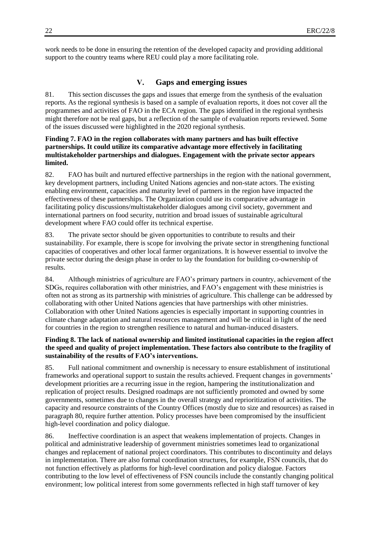work needs to be done in ensuring the retention of the developed capacity and providing additional support to the country teams where REU could play a more facilitating role.

## **V. Gaps and emerging issues**

81. This section discusses the gaps and issues that emerge from the synthesis of the evaluation reports. As the regional synthesis is based on a sample of evaluation reports, it does not cover all the programmes and activities of FAO in the ECA region. The gaps identified in the regional synthesis might therefore not be real gaps, but a reflection of the sample of evaluation reports reviewed. Some of the issues discussed were highlighted in the 2020 regional synthesis.

## **Finding 7. FAO in the region collaborates with many partners and has built effective partnerships. It could utilize its comparative advantage more effectively in facilitating multistakeholder partnerships and dialogues. Engagement with the private sector appears limited.**

82. FAO has built and nurtured effective partnerships in the region with the national government, key development partners, including United Nations agencies and non-state actors. The existing enabling environment, capacities and maturity level of partners in the region have impacted the effectiveness of these partnerships. The Organization could use its comparative advantage in facilitating policy discussions/multistakeholder dialogues among civil society, government and international partners on food security, nutrition and broad issues of sustainable agricultural development where FAO could offer its technical expertise.

83. The private sector should be given opportunities to contribute to results and their sustainability. For example, there is scope for involving the private sector in strengthening functional capacities of cooperatives and other local farmer organizations. It is however essential to involve the private sector during the design phase in order to lay the foundation for building co-ownership of results.

84. Although ministries of agriculture are FAO's primary partners in country, achievement of the SDGs, requires collaboration with other ministries, and FAO's engagement with these ministries is often not as strong as its partnership with ministries of agriculture. This challenge can be addressed by collaborating with other United Nations agencies that have partnerships with other ministries. Collaboration with other United Nations agencies is especially important in supporting countries in climate change adaptation and natural resources management and will be critical in light of the need for countries in the region to strengthen resilience to natural and human-induced disasters.

## **Finding 8. The lack of national ownership and limited institutional capacities in the region affect the speed and quality of project implementation. These factors also contribute to the fragility of sustainability of the results of FAO's interventions.**

85. Full national commitment and ownership is necessary to ensure establishment of institutional frameworks and operational support to sustain the results achieved. Frequent changes in governments' development priorities are a recurring issue in the region, hampering the institutionalization and replication of project results. Designed roadmaps are not sufficiently promoted and owned by some governments, sometimes due to changes in the overall strategy and reprioritization of activities. The capacity and resource constraints of the Country Offices (mostly due to size and resources) as raised in paragraph 80, require further attention. Policy processes have been compromised by the insufficient high-level coordination and policy dialogue.

86. Ineffective coordination is an aspect that weakens implementation of projects. Changes in political and administrative leadership of government ministries sometimes lead to organizational changes and replacement of national project coordinators. This contributes to discontinuity and delays in implementation. There are also formal coordination structures, for example, FSN councils, that do not function effectively as platforms for high-level coordination and policy dialogue. Factors contributing to the low level of effectiveness of FSN councils include the constantly changing political environment; low political interest from some governments reflected in high staff turnover of key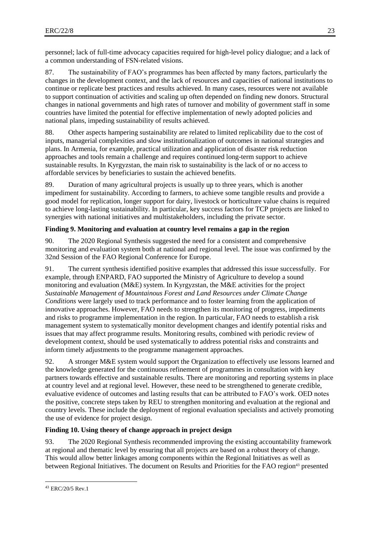personnel; lack of full-time advocacy capacities required for high-level policy dialogue; and a lack of a common understanding of FSN-related visions.

87. The sustainability of FAO's programmes has been affected by many factors, particularly the changes in the development context, and the lack of resources and capacities of national institutions to continue or replicate best practices and results achieved. In many cases, resources were not available to support continuation of activities and scaling up often depended on finding new donors. Structural changes in national governments and high rates of turnover and mobility of government staff in some countries have limited the potential for effective implementation of newly adopted policies and national plans, impeding sustainability of results achieved.

88. Other aspects hampering sustainability are related to limited replicability due to the cost of inputs, managerial complexities and slow institutionalization of outcomes in national strategies and plans. In Armenia, for example, practical utilization and application of disaster risk reduction approaches and tools remain a challenge and requires continued long-term support to achieve sustainable results. In Kyrgyzstan, the main risk to sustainability is the lack of or no access to affordable services by beneficiaries to sustain the achieved benefits.

89. Duration of many agricultural projects is usually up to three years, which is another impediment for sustainability. According to farmers, to achieve some tangible results and provide a good model for replication, longer support for dairy, livestock or horticulture value chains is required to achieve long-lasting sustainability. In particular, key success factors for TCP projects are linked to synergies with national initiatives and multistakeholders, including the private sector.

## **Finding 9. Monitoring and evaluation at country level remains a gap in the region**

90. The 2020 Regional Synthesis suggested the need for a consistent and comprehensive monitoring and evaluation system both at national and regional level. The issue was confirmed by the 32nd Session of the FAO Regional Conference for Europe.

91. The current synthesis identified positive examples that addressed this issue successfully. For example, through ENPARD, FAO supported the Ministry of Agriculture to develop a sound monitoring and evaluation (M&E) system. In Kyrgyzstan, the M&E activities for the project *Sustainable Management of Mountainous Forest and Land Resources under Climate Change Conditions* were largely used to track performance and to foster learning from the application of innovative approaches. However, FAO needs to strengthen its monitoring of progress, impediments and risks to programme implementation in the region. In particular, FAO needs to establish a risk management system to systematically monitor development changes and identify potential risks and issues that may affect programme results. Monitoring results, combined with periodic review of development context, should be used systematically to address potential risks and constraints and inform timely adjustments to the programme management approaches.

92. A stronger M&E system would support the Organization to effectively use lessons learned and the knowledge generated for the continuous refinement of programmes in consultation with key partners towards effective and sustainable results. There are monitoring and reporting systems in place at country level and at regional level. However, these need to be strengthened to generate credible, evaluative evidence of outcomes and lasting results that can be attributed to FAO's work. OED notes the positive, concrete steps taken by REU to strengthen monitoring and evaluation at the regional and country levels. These include the deployment of regional evaluation specialists and actively promoting the use of evidence for project design.

## **Finding 10. Using theory of change approach in project design**

93. The 2020 Regional Synthesis recommended improving the existing accountability framework at regional and thematic level by ensuring that all projects are based on a robust theory of change. This would allow better linkages among components within the Regional Initiatives as well as between Regional Initiatives. The document on Results and Priorities for the FAO region<sup>43</sup> presented

 $\overline{a}$ <sup>43</sup> ERC/20/5 Rev.1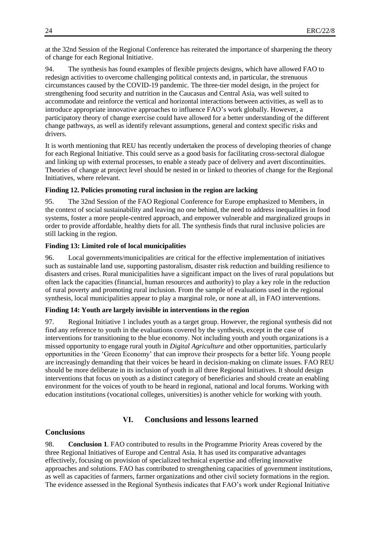at the 32nd Session of the Regional Conference has reiterated the importance of sharpening the theory of change for each Regional Initiative.

94. The synthesis has found examples of flexible projects designs, which have allowed FAO to redesign activities to overcome challenging political contexts and, in particular, the strenuous circumstances caused by the COVID-19 pandemic. The three-tier model design, in the project for strengthening food security and nutrition in the Caucasus and Central Asia, was well suited to accommodate and reinforce the vertical and horizontal interactions between activities, as well as to introduce appropriate innovative approaches to influence FAO's work globally. However, a participatory theory of change exercise could have allowed for a better understanding of the different change pathways, as well as identify relevant assumptions, general and context specific risks and drivers.

It is worth mentioning that REU has recently undertaken the process of developing theories of change for each Regional Initiative. This could serve as a good basis for facilitating cross-sectoral dialogue and linking up with external processes, to enable a steady pace of delivery and avert discontinuities. Theories of change at project level should be nested in or linked to theories of change for the Regional Initiatives, where relevant.

#### **Finding 12. Policies promoting rural inclusion in the region are lacking**

95. The 32nd Session of the FAO Regional Conference for Europe emphasized to Members, in the context of social sustainability and leaving no one behind, the need to address inequalities in food systems, foster a more people-centred approach, and empower vulnerable and marginalized groups in order to provide affordable, healthy diets for all. The synthesis finds that rural inclusive policies are still lacking in the region.

#### **Finding 13: Limited role of local municipalities**

96. Local governments/municipalities are critical for the effective implementation of initiatives such as sustainable land use, supporting pastoralism, disaster risk reduction and building resilience to disasters and crises. Rural municipalities have a significant impact on the lives of rural populations but often lack the capacities (financial, human resources and authority) to play a key role in the reduction of rural poverty and promoting rural inclusion. From the sample of evaluations used in the regional synthesis, local municipalities appear to play a marginal role, or none at all, in FAO interventions.

#### **Finding 14: Youth are largely invisible in interventions in the region**

97. Regional Initiative 1 includes youth as a target group. However, the regional synthesis did not find any reference to youth in the evaluations covered by the synthesis, except in the case of interventions for transitioning to the blue economy. Not including youth and youth organizations is a missed opportunity to engage rural youth in *Digital Agriculture* and other opportunities, particularly opportunities in the 'Green Economy' that can improve their prospects for a better life. Young people are increasingly demanding that their voices be heard in decision-making on climate issues. FAO REU should be more deliberate in its inclusion of youth in all three Regional Initiatives. It should design interventions that focus on youth as a distinct category of beneficiaries and should create an enabling environment for the voices of youth to be heard in regional, national and local forums. Working with education institutions (vocational colleges, universities) is another vehicle for working with youth.

## **VI. Conclusions and lessons learned**

### **Conclusions**

98. **Conclusion 1**. FAO contributed to results in the Programme Priority Areas covered by the three Regional Initiatives of Europe and Central Asia. It has used its comparative advantages effectively, focusing on provision of specialized technical expertise and offering innovative approaches and solutions. FAO has contributed to strengthening capacities of government institutions, as well as capacities of farmers, farmer organizations and other civil society formations in the region. The evidence assessed in the Regional Synthesis indicates that FAO's work under Regional Initiative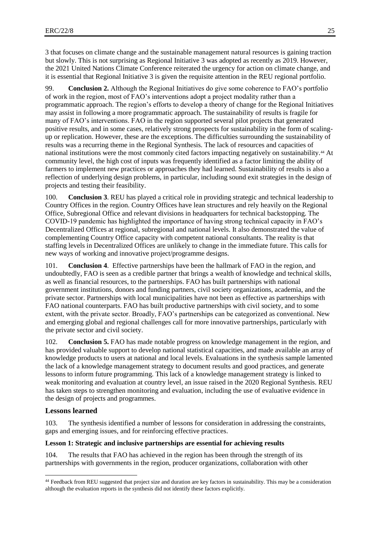3 that focuses on climate change and the sustainable management natural resources is gaining traction but slowly. This is not surprising as Regional Initiative 3 was adopted as recently as 2019. However, the 2021 United Nations Climate Conference reiterated the urgency for action on climate change, and it is essential that Regional Initiative 3 is given the requisite attention in the REU regional portfolio.

99. **Conclusion 2.** Although the Regional Initiatives do give some coherence to FAO's portfolio of work in the region, most of FAO's interventions adopt a project modality rather than a programmatic approach. The region's efforts to develop a theory of change for the Regional Initiatives may assist in following a more programmatic approach. The sustainability of results is fragile for many of FAO's interventions. FAO in the region supported several pilot projects that generated positive results, and in some cases, relatively strong prospects for sustainability in the form of scalingup or replication. However, these are the exceptions. The difficulties surrounding the sustainability of results was a recurring theme in the Regional Synthesis. The lack of resources and capacities of national institutions were the most commonly cited factors impacting negatively on sustainability.<sup>44</sup> At community level, the high cost of inputs was frequently identified as a factor limiting the ability of farmers to implement new practices or approaches they had learned. Sustainability of results is also a reflection of underlying design problems, in particular, including sound exit strategies in the design of projects and testing their feasibility.

100. **Conclusion 3**. REU has played a critical role in providing strategic and technical leadership to Country Offices in the region. Country Offices have lean structures and rely heavily on the Regional Office, Subregional Office and relevant divisions in headquarters for technical backstopping. The COVID-19 pandemic has highlighted the importance of having strong technical capacity in FAO's Decentralized Offices at regional, subregional and national levels. It also demonstrated the value of complementing Country Office capacity with competent national consultants. The reality is that staffing levels in Decentralized Offices are unlikely to change in the immediate future. This calls for new ways of working and innovative project/programme designs.

101. **Conclusion 4**. Effective partnerships have been the hallmark of FAO in the region, and undoubtedly, FAO is seen as a credible partner that brings a wealth of knowledge and technical skills, as well as financial resources, to the partnerships. FAO has built partnerships with national government institutions, donors and funding partners, civil society organizations, academia, and the private sector. Partnerships with local municipalities have not been as effective as partnerships with FAO national counterparts. FAO has built productive partnerships with civil society, and to some extent, with the private sector. Broadly, FAO's partnerships can be categorized as conventional. New and emerging global and regional challenges call for more innovative partnerships, particularly with the private sector and civil society.

102. **Conclusion 5.** FAO has made notable progress on knowledge management in the region, and has provided valuable support to develop national statistical capacities, and made available an array of knowledge products to users at national and local levels. Evaluations in the synthesis sample lamented the lack of a knowledge management strategy to document results and good practices, and generate lessons to inform future programming. This lack of a knowledge management strategy is linked to weak monitoring and evaluation at country level, an issue raised in the 2020 Regional Synthesis. REU has taken steps to strengthen monitoring and evaluation, including the use of evaluative evidence in the design of projects and programmes.

## **Lessons learned**

l

103. The synthesis identified a number of lessons for consideration in addressing the constraints, gaps and emerging issues, and for reinforcing effective practices.

### **Lesson 1: Strategic and inclusive partnerships are essential for achieving results**

104. The results that FAO has achieved in the region has been through the strength of its partnerships with governments in the region, producer organizations, collaboration with other

<sup>44</sup> Feedback from REU suggested that project size and duration are key factors in sustainability. This may be a consideration although the evaluation reports in the synthesis did not identify these factors explicitly.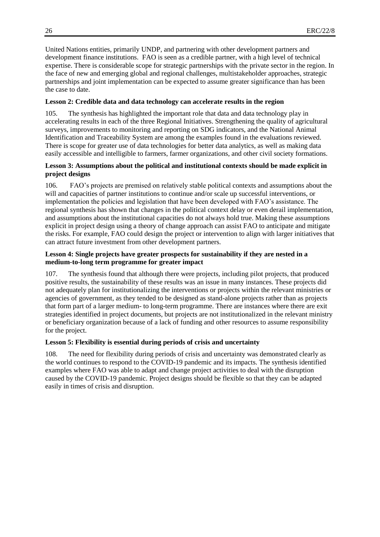United Nations entities, primarily UNDP, and partnering with other development partners and development finance institutions. FAO is seen as a credible partner, with a high level of technical expertise. There is considerable scope for strategic partnerships with the private sector in the region. In the face of new and emerging global and regional challenges, multistakeholder approaches, strategic partnerships and joint implementation can be expected to assume greater significance than has been the case to date.

## **Lesson 2: Credible data and data technology can accelerate results in the region**

105. The synthesis has highlighted the important role that data and data technology play in accelerating results in each of the three Regional Initiatives. Strengthening the quality of agricultural surveys, improvements to monitoring and reporting on SDG indicators, and the National Animal Identification and Traceability System are among the examples found in the evaluations reviewed. There is scope for greater use of data technologies for better data analytics, as well as making data easily accessible and intelligible to farmers, farmer organizations, and other civil society formations.

## **Lesson 3: Assumptions about the political and institutional contexts should be made explicit in project designs**

106. FAO's projects are premised on relatively stable political contexts and assumptions about the will and capacities of partner institutions to continue and/or scale up successful interventions, or implementation the policies and legislation that have been developed with FAO's assistance. The regional synthesis has shown that changes in the political context delay or even derail implementation, and assumptions about the institutional capacities do not always hold true. Making these assumptions explicit in project design using a theory of change approach can assist FAO to anticipate and mitigate the risks. For example, FAO could design the project or intervention to align with larger initiatives that can attract future investment from other development partners.

## **Lesson 4: Single projects have greater prospects for sustainability if they are nested in a medium-to-long term programme for greater impact**

107. The synthesis found that although there were projects, including pilot projects, that produced positive results, the sustainability of these results was an issue in many instances. These projects did not adequately plan for institutionalizing the interventions or projects within the relevant ministries or agencies of government, as they tended to be designed as stand-alone projects rather than as projects that form part of a larger medium- to long-term programme. There are instances where there are exit strategies identified in project documents, but projects are not institutionalized in the relevant ministry or beneficiary organization because of a lack of funding and other resources to assume responsibility for the project.

## **Lesson 5: Flexibility is essential during periods of crisis and uncertainty**

108. The need for flexibility during periods of crisis and uncertainty was demonstrated clearly as the world continues to respond to the COVID-19 pandemic and its impacts. The synthesis identified examples where FAO was able to adapt and change project activities to deal with the disruption caused by the COVID-19 pandemic. Project designs should be flexible so that they can be adapted easily in times of crisis and disruption.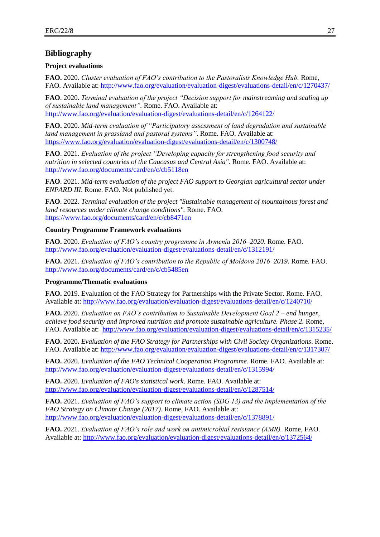## **Bibliography**

### **Project evaluations**

**FAO.** 2020. *Cluster evaluation of FAO's contribution to the Pastoralists Knowledge Hub.* Rome, FAO. Available at:<http://www.fao.org/evaluation/evaluation-digest/evaluations-detail/en/c/1270437/>

**FAO**. 2020*. Terminal evaluation of the project "Decision support for mainstreaming and scaling up of sustainable land management".* Rome. FAO. Available at: <http://www.fao.org/evaluation/evaluation-digest/evaluations-detail/en/c/1264122/>

**FAO.** 2020. *Mid-term evaluation of "Participatory assessment of land degradation and sustainable land management in grassland and pastoral systems"*. Rome. FAO. Available at: <https://www.fao.org/evaluation/evaluation-digest/evaluations-detail/en/c/1300748/>

**FAO**. 2021. *Evaluation of the project "Developing capacity for strengthening food security and nutrition in selected countries of the Caucasus and Central Asia".* Rome. FAO. Available at: <http://www.fao.org/documents/card/en/c/cb5118en>

**FAO**. 2021. *Mid-term evaluation of the project FAO support to Georgian agricultural sector under ENPARD III*. Rome. FAO. Not published yet.

**FAO**. 2022. *Terminal evaluation of the project "Sustainable management of mountainous forest and land resources under climate change conditions".* Rome. FAO. <https://www.fao.org/documents/card/en/c/cb8471en>

### **Country Programme Framework evaluations**

**FAO.** 2020. *Evaluation of FAO's country programme in Armenia 2016*–*2020*. Rome. FAO. <http://www.fao.org/evaluation/evaluation-digest/evaluations-detail/en/c/1312191/>

**FAO.** 2021. *Evaluation of FAO's contribution to the Republic of Moldova 2016*–*2019*. Rome. FAO. <http://www.fao.org/documents/card/en/c/cb5485en>

### **Programme/Thematic evaluations**

**FAO.** 2019. Evaluation of the FAO Strategy for Partnerships with the Private Sector. Rome. FAO. Available at:<http://www.fao.org/evaluation/evaluation-digest/evaluations-detail/en/c/1240710/>

**FAO.** 2020. *Evaluation on FAO's contribution to Sustainable Development Goal 2 – end hunger, achieve food security and improved nutrition and promote sustainable agriculture. Phase 2. Rome,* FAO. Available at: <http://www.fao.org/evaluation/evaluation-digest/evaluations-detail/en/c/1315235/>

**FAO.** 2020*. Evaluation of the FAO Strategy for Partnerships with Civil Society Organizations*. Rome. FAO. Available at:<http://www.fao.org/evaluation/evaluation-digest/evaluations-detail/en/c/1317307/>

**FAO.** 2020. *Evaluation of the FAO Technical Cooperation Programme*. Rome. FAO. Available at: <http://www.fao.org/evaluation/evaluation-digest/evaluations-detail/en/c/1315994/>

**FAO.** 2020. *Evaluation of FAO's statistical work*. Rome. FAO. Available at: <http://www.fao.org/evaluation/evaluation-digest/evaluations-detail/en/c/1287514/>

**FAO.** 2021. *Evaluation of FAO's support to climate action (SDG 13) and the implementation of the FAO Strategy on Climate Change (2017).* Rome, FAO. Available at: <http://www.fao.org/evaluation/evaluation-digest/evaluations-detail/en/c/1378891/>

**FAO.** 2021. *Evaluation of FAO's role and work on antimicrobial resistance (AMR).* Rome, FAO. Available at:<http://www.fao.org/evaluation/evaluation-digest/evaluations-detail/en/c/1372564/>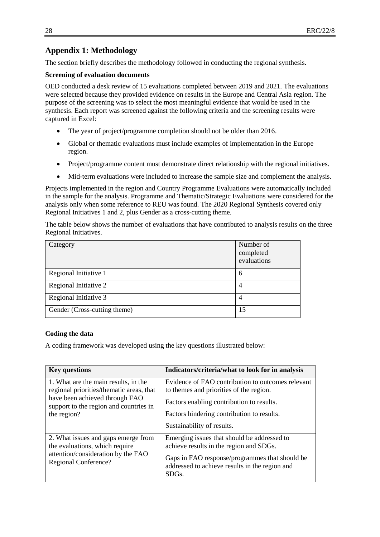## **Appendix 1: Methodology**

The section briefly describes the methodology followed in conducting the regional synthesis.

## **Screening of evaluation documents**

OED conducted a desk review of 15 evaluations completed between 2019 and 2021. The evaluations were selected because they provided evidence on results in the Europe and Central Asia region. The purpose of the screening was to select the most meaningful evidence that would be used in the synthesis. Each report was screened against the following criteria and the screening results were captured in Excel:

- The year of project/programme completion should not be older than 2016.
- Global or thematic evaluations must include examples of implementation in the Europe region.
- Project/programme content must demonstrate direct relationship with the regional initiatives.
- Mid-term evaluations were included to increase the sample size and complement the analysis.

Projects implemented in the region and Country Programme Evaluations were automatically included in the sample for the analysis. Programme and Thematic/Strategic Evaluations were considered for the analysis only when some reference to REU was found. The 2020 Regional Synthesis covered only Regional Initiatives 1 and 2, plus Gender as a cross-cutting theme.

The table below shows the number of evaluations that have contributed to analysis results on the three Regional Initiatives.

| Category                     | Number of<br>completed<br>evaluations |
|------------------------------|---------------------------------------|
| Regional Initiative 1        | 6                                     |
| Regional Initiative 2        | 4                                     |
| Regional Initiative 3        | $\overline{4}$                        |
| Gender (Cross-cutting theme) | 15                                    |

## **Coding the data**

A coding framework was developed using the key questions illustrated below:

| <b>Key questions</b>                                                                                                                                                        | Indicators/criteria/what to look for in analysis                                                                                                                                                                 |
|-----------------------------------------------------------------------------------------------------------------------------------------------------------------------------|------------------------------------------------------------------------------------------------------------------------------------------------------------------------------------------------------------------|
| 1. What are the main results, in the<br>regional priorities/thematic areas, that<br>have been achieved through FAO<br>support to the region and countries in<br>the region? | Evidence of FAO contribution to outcomes relevant<br>to the mess and priorities of the region.<br>Factors enabling contribution to results.<br>Factors hindering contribution to results.                        |
|                                                                                                                                                                             | Sustainability of results.                                                                                                                                                                                       |
| 2. What issues and gaps emerge from<br>the evaluations, which require<br>attention/consideration by the FAO<br>Regional Conference?                                         | Emerging issues that should be addressed to<br>achieve results in the region and SDGs.<br>Gaps in FAO response/programmes that should be<br>addressed to achieve results in the region and<br>SDG <sub>s</sub> . |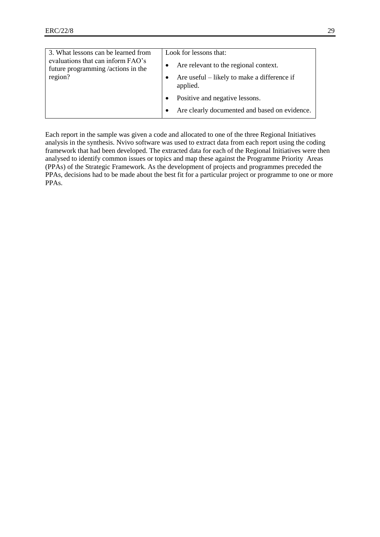| 3. What lessons can be learned from                                     | Look for lessons that:                                  |
|-------------------------------------------------------------------------|---------------------------------------------------------|
| evaluations that can inform FAO's<br>future programming /actions in the | Are relevant to the regional context.                   |
| region?                                                                 | Are useful – likely to make a difference if<br>applied. |
|                                                                         | Positive and negative lessons.                          |
|                                                                         | Are clearly documented and based on evidence.           |

Each report in the sample was given a code and allocated to one of the three Regional Initiatives analysis in the synthesis. Nvivo software was used to extract data from each report using the coding framework that had been developed. The extracted data for each of the Regional Initiatives were then analysed to identify common issues or topics and map these against the Programme Priority Areas (PPAs) of the Strategic Framework. As the development of projects and programmes preceded the PPAs, decisions had to be made about the best fit for a particular project or programme to one or more PPAs.